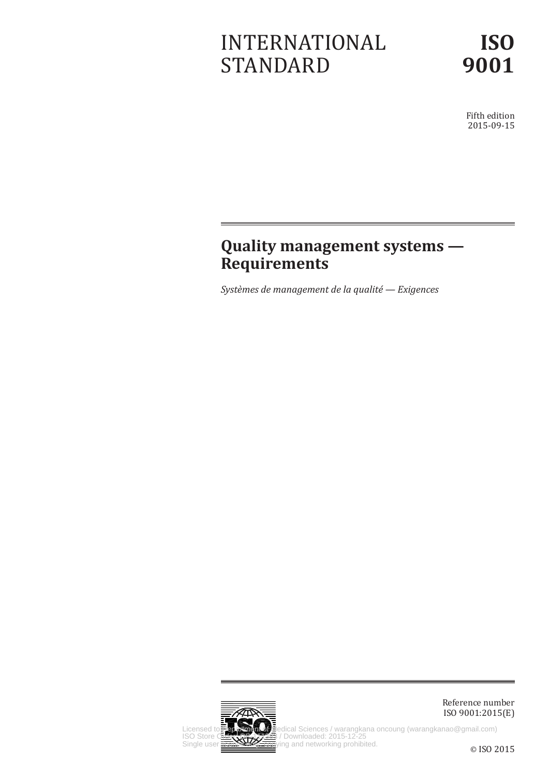# INTERNATIONAL STANDARD

Fifth edition 2015-09-15

## **Quality management systems — Requirements**

*Systèmes de management de la qualité — Exigences*



Licensed to Department of Medical Sciences / warangkana oncoung (warangkanao@gmail.com) ISO Store Citence of The USO Store Citence on Later Store Order: 2015-12-25<br>Single user licence of Citence only and networking prohibited.

Reference number ISO 9001:2015(E)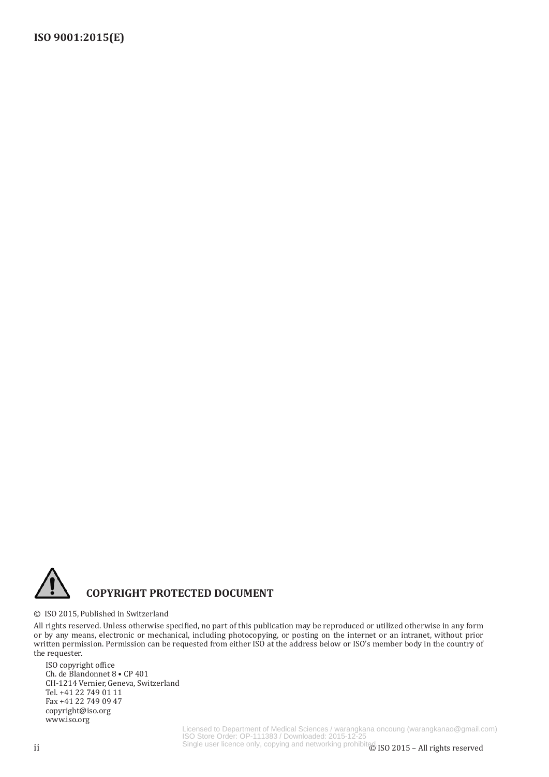

#### © ISO 2015, Published in Switzerland

All rights reserved. Unless otherwise specified, no part of this publication may be reproduced or utilized otherwise in any form or by any means, electronic or mechanical, including photocopying, or posting on the internet or an intranet, without prior written permission. Permission can be requested from either ISO at the address below or ISO's member body in the country of the requester.

ISO copyright office Ch. de Blandonnet 8 • CP 401 CH-1214 Vernier, Geneva, Switzerland Tel. +41 22 749 01 11 Fax +41 22 749 09 47 copyright@iso.org www.iso.org

ii  $\sum_{\text{triangle door become only, copying and newchanging programming  $G$  ISO 2015 – All rights reserved.}$  Licensed to Department of Medical Sciences / warangkana oncoung (warangkanao@gmail.com) ISO Store Order: OP-111383 / Downloaded: 2015-12-25 Single user licence only, copying and networking prohibited.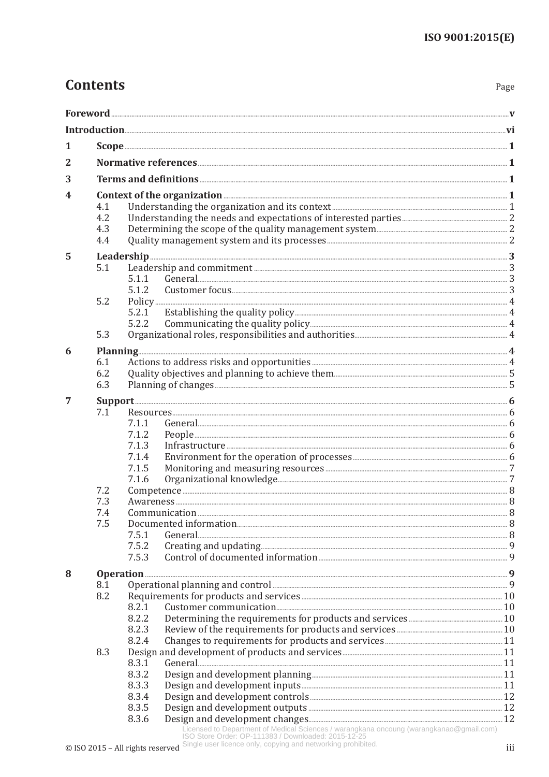## **Contents**

Page

| 1 |                          |                                                                                                                                                      |     |  |  |  |  |  |
|---|--------------------------|------------------------------------------------------------------------------------------------------------------------------------------------------|-----|--|--|--|--|--|
| 2 |                          |                                                                                                                                                      |     |  |  |  |  |  |
| 3 |                          |                                                                                                                                                      |     |  |  |  |  |  |
| 4 |                          |                                                                                                                                                      |     |  |  |  |  |  |
|   | 4.1<br>4.2<br>4.3<br>4.4 | Context of the organization <b>Executive Context</b> of the organization <b>Algebra</b> 2                                                            |     |  |  |  |  |  |
| 5 |                          |                                                                                                                                                      |     |  |  |  |  |  |
|   | 5.1                      |                                                                                                                                                      |     |  |  |  |  |  |
|   |                          | 5.1.1                                                                                                                                                |     |  |  |  |  |  |
|   |                          | 5.1.2                                                                                                                                                |     |  |  |  |  |  |
|   | 5.2                      | 5.2.1                                                                                                                                                |     |  |  |  |  |  |
|   |                          | 5.2.2                                                                                                                                                |     |  |  |  |  |  |
|   | 5.3                      |                                                                                                                                                      |     |  |  |  |  |  |
|   |                          |                                                                                                                                                      |     |  |  |  |  |  |
| 6 |                          |                                                                                                                                                      |     |  |  |  |  |  |
|   | 6.1<br>6.2               |                                                                                                                                                      |     |  |  |  |  |  |
|   | 6.3                      |                                                                                                                                                      |     |  |  |  |  |  |
|   |                          |                                                                                                                                                      |     |  |  |  |  |  |
| 7 |                          |                                                                                                                                                      |     |  |  |  |  |  |
|   | 7.1                      |                                                                                                                                                      |     |  |  |  |  |  |
|   |                          | 7.1.1<br>7.1.2                                                                                                                                       |     |  |  |  |  |  |
|   |                          | 7.1.3                                                                                                                                                |     |  |  |  |  |  |
|   |                          | 7.1.4                                                                                                                                                |     |  |  |  |  |  |
|   |                          | 7.1.5                                                                                                                                                |     |  |  |  |  |  |
|   |                          | 7.1.6                                                                                                                                                |     |  |  |  |  |  |
|   | 7.2                      | $Complete ac 1 2 1 3 2 4 5 6 6 7 8 8 9 1 1 1 1 1 1 1 1 1 1 1 1 1 1 1 1 1$                                                                            |     |  |  |  |  |  |
|   | 7.3                      |                                                                                                                                                      |     |  |  |  |  |  |
|   | 7.4                      | $Common$ $\sim$ 8                                                                                                                                    |     |  |  |  |  |  |
|   | 7.5                      |                                                                                                                                                      |     |  |  |  |  |  |
|   |                          | 7.5.1                                                                                                                                                |     |  |  |  |  |  |
|   |                          | 7.5.2                                                                                                                                                |     |  |  |  |  |  |
|   |                          | 7.5.3                                                                                                                                                |     |  |  |  |  |  |
| 8 |                          |                                                                                                                                                      |     |  |  |  |  |  |
|   | 8.1                      |                                                                                                                                                      |     |  |  |  |  |  |
|   | 8.2                      |                                                                                                                                                      |     |  |  |  |  |  |
|   |                          | 8.2.1                                                                                                                                                |     |  |  |  |  |  |
|   |                          | 8.2.2                                                                                                                                                |     |  |  |  |  |  |
|   |                          | 8.2.3<br>Review of the requirements for products and services <b>Entire 20</b> and service <b>Entrary 20</b>                                         |     |  |  |  |  |  |
|   |                          | 8.2.4                                                                                                                                                |     |  |  |  |  |  |
|   | 8.3                      | 8.3.1                                                                                                                                                |     |  |  |  |  |  |
|   |                          | 8.3.2                                                                                                                                                |     |  |  |  |  |  |
|   |                          | 8.3.3                                                                                                                                                |     |  |  |  |  |  |
|   |                          | 8.3.4                                                                                                                                                |     |  |  |  |  |  |
|   |                          | 8.3.5                                                                                                                                                |     |  |  |  |  |  |
|   |                          | 8.3.6                                                                                                                                                |     |  |  |  |  |  |
|   |                          | Licensed to Department of Medical Sciences / warangkana oncoung (warangkanao@gmail.com)                                                              |     |  |  |  |  |  |
|   |                          | ISO Store Order: OP-111383 / Downloaded: 2015-12-25<br>© ISO 2015 - All rights reserved Single user licence only, copying and networking prohibited. |     |  |  |  |  |  |
|   |                          |                                                                                                                                                      | iii |  |  |  |  |  |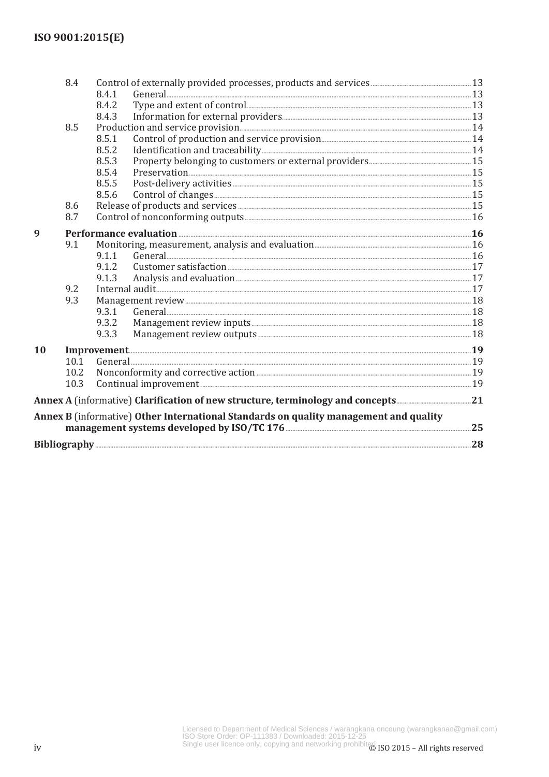## ISO 9001:2015(E)

|              | 8.4  |                                                                                          |  |  |  |
|--------------|------|------------------------------------------------------------------------------------------|--|--|--|
|              |      | 8.4.1                                                                                    |  |  |  |
|              |      | 8.4.2                                                                                    |  |  |  |
|              |      | 8.4.3                                                                                    |  |  |  |
|              | 8.5  |                                                                                          |  |  |  |
|              |      | 8.5.1                                                                                    |  |  |  |
|              |      | 8.5.2                                                                                    |  |  |  |
|              |      | 8.5.3                                                                                    |  |  |  |
|              |      | 8.5.4                                                                                    |  |  |  |
|              |      | 8.5.5<br>8.5.6                                                                           |  |  |  |
|              | 8.6  |                                                                                          |  |  |  |
|              | 8.7  |                                                                                          |  |  |  |
|              |      |                                                                                          |  |  |  |
| $\mathbf{q}$ |      |                                                                                          |  |  |  |
|              | 9.1  |                                                                                          |  |  |  |
|              |      | 9.1.1                                                                                    |  |  |  |
|              |      | 9.1.2                                                                                    |  |  |  |
|              |      | 9.1.3                                                                                    |  |  |  |
|              | 9.2  |                                                                                          |  |  |  |
|              | 9.3  |                                                                                          |  |  |  |
|              |      | 9.3.1<br>General 28 18                                                                   |  |  |  |
|              |      | 9.3.2                                                                                    |  |  |  |
|              |      | Management review outputs <b>Management</b> review outputs <b>Management</b> 18<br>9.3.3 |  |  |  |
| 10           |      |                                                                                          |  |  |  |
|              | 10.1 | General 29 19                                                                            |  |  |  |
|              | 10.2 |                                                                                          |  |  |  |
|              | 10.3 |                                                                                          |  |  |  |
|              |      |                                                                                          |  |  |  |
|              |      | Annex B (informative) Other International Standards on quality management and quality    |  |  |  |
|              |      |                                                                                          |  |  |  |
|              |      |                                                                                          |  |  |  |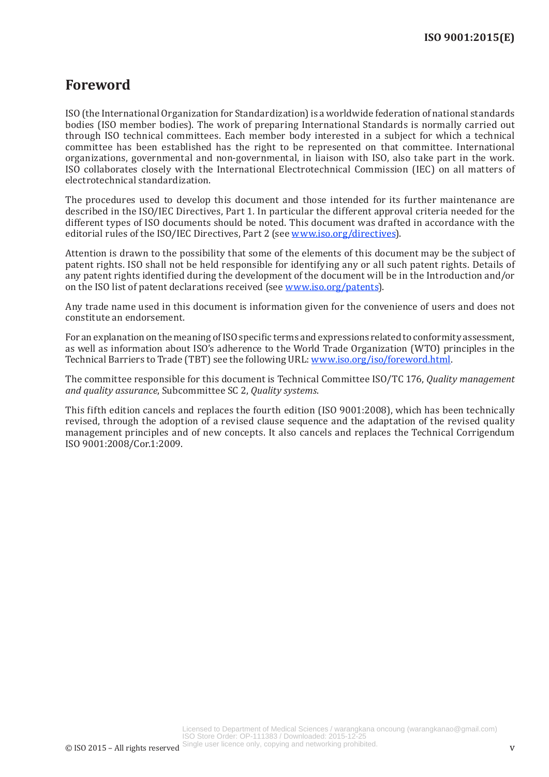## <span id="page-4-0"></span>**Foreword**

ISO (the International Organization for Standardization) is a worldwide federation of national standards bodies (ISO member bodies). The work of preparing International Standards is normally carried out through ISO technical committees. Each member body interested in a subject for which a technical committee has been established has the right to be represented on that committee. International organizations, governmental and non-governmental, in liaison with ISO, also take part in the work. ISO collaborates closely with the International Electrotechnical Commission (IEC) on all matters of electrotechnical standardization.

The procedures used to develop this document and those intended for its further maintenance are described in the ISO/IEC Directives, Part 1. In particular the different approval criteria needed for the different types of ISO documents should be noted. This document was drafted in accordance with the editorial rules of the ISO/IEC Directives, Part 2 (see [www.iso.org/directives](http://www.iso.org/directives)).

Attention is drawn to the possibility that some of the elements of this document may be the subject of patent rights. ISO shall not be held responsible for identifying any or all such patent rights. Details of any patent rights identified during the development of the document will be in the Introduction and/or on the ISO list of patent declarations received (see [www.iso.org/patents](http://www.iso.org/patents)).

Any trade name used in this document is information given for the convenience of users and does not constitute an endorsement.

For an explanation on the meaning of ISO specific terms and expressions related to conformity assessment, as well as information about ISO's adherence to the World Trade Organization (WTO) principles in the Technical Barriers to Trade (TBT) see the following URL: [www.iso.org/iso/foreword.html](http://www.iso.org/iso/foreword.html).

The committee responsible for this document is Technical Committee ISO/TC 176, *Quality management and quality assurance*, Subcommittee SC 2, *Quality systems*.

This fifth edition cancels and replaces the fourth edition (ISO 9001:2008), which has been technically revised, through the adoption of a revised clause sequence and the adaptation of the revised quality management principles and of new concepts. It also cancels and replaces the Technical Corrigendum ISO 9001:2008/Cor.1:2009.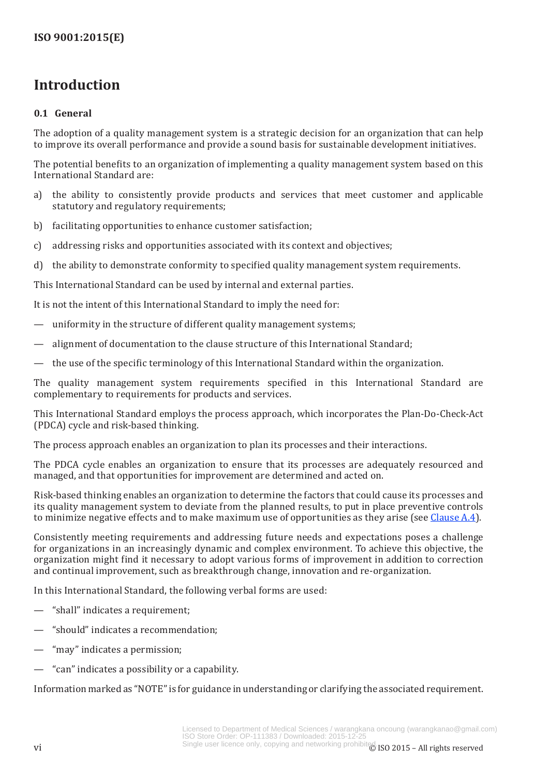## <span id="page-5-0"></span>**Introduction**

#### **0.1 General**

The adoption of a quality management system is a strategic decision for an organization that can help to improve its overall performance and provide a sound basis for sustainable development initiatives.

The potential benefits to an organization of implementing a quality management system based on this International Standard are:

- a) the ability to consistently provide products and services that meet customer and applicable statutory and regulatory requirements;
- b) facilitating opportunities to enhance customer satisfaction;
- c) addressing risks and opportunities associated with its context and objectives;
- d) the ability to demonstrate conformity to specified quality management system requirements.

This International Standard can be used by internal and external parties.

It is not the intent of this International Standard to imply the need for:

- uniformity in the structure of different quality management systems;
- alignment of documentation to the clause structure of this International Standard;
- the use of the specific terminology of this International Standard within the organization.

The quality management system requirements specified in this International Standard are complementary to requirements for products and services.

This International Standard employs the process approach, which incorporates the Plan-Do-Check-Act (PDCA) cycle and risk-based thinking.

The process approach enables an organization to plan its processes and their interactions.

The PDCA cycle enables an organization to ensure that its processes are adequately resourced and managed, and that opportunities for improvement are determined and acted on.

Risk-based thinking enables an organization to determine the factors that could cause its processes and its quality management system to deviate from the planned results, to put in place preventive controls to minimize negative effects and to make maximum use of opportunities as they arise (see [Clause](#page-31-0) A.4).

Consistently meeting requirements and addressing future needs and expectations poses a challenge for organizations in an increasingly dynamic and complex environment. To achieve this objective, the organization might find it necessary to adopt various forms of improvement in addition to correction and continual improvement, such as breakthrough change, innovation and re-organization.

In this International Standard, the following verbal forms are used:

- "shall" indicates a requirement;
- "should" indicates a recommendation;
- "may" indicates a permission;
- "can" indicates a possibility or a capability.

Information marked as "NOTE" is for guidance in understanding or clarifying the associated requirement.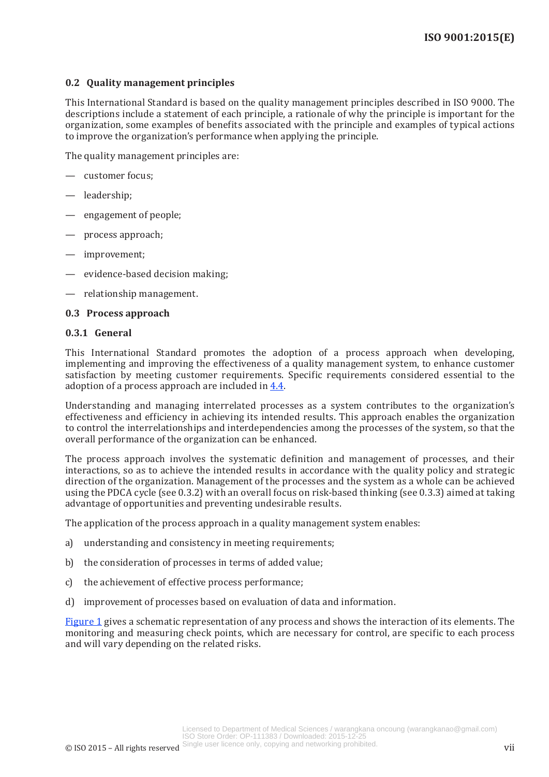#### **0.2 Quality management principles**

This International Standard is based on the quality management principles described in ISO 9000. The descriptions include a statement of each principle, a rationale of why the principle is important for the organization, some examples of benefits associated with the principle and examples of typical actions to improve the organization's performance when applying the principle.

The quality management principles are:

- customer focus;
- leadership;
- engagement of people;
- process approach;
- improvement;
- evidence-based decision making;
- relationship management.

#### **0.3 Process approach**

#### **0.3.1 General**

This International Standard promotes the adoption of a process approach when developing, implementing and improving the effectiveness of a quality management system, to enhance customer satisfaction by meeting customer requirements. Specific requirements considered essential to the adoption of a process approach are included in [4.4.](#page-11-1)

Understanding and managing interrelated processes as a system contributes to the organization's effectiveness and efficiency in achieving its intended results. This approach enables the organization to control the interrelationships and interdependencies among the processes of the system, so that the overall performance of the organization can be enhanced.

The process approach involves the systematic definition and management of processes, and their interactions, so as to achieve the intended results in accordance with the quality policy and strategic direction of the organization. Management of the processes and the system as a whole can be achieved using the PDCA cycle (see 0.3.2) with an overall focus on risk-based thinking (see 0.3.3) aimed at taking advantage of opportunities and preventing undesirable results.

The application of the process approach in a quality management system enables:

- a) understanding and consistency in meeting requirements;
- b) the consideration of processes in terms of added value;
- c) the achievement of effective process performance;
- d) improvement of processes based on evaluation of data and information.

[Figure](#page-7-0) 1 gives a schematic representation of any process and shows the interaction of its elements. The monitoring and measuring check points, which are necessary for control, are specific to each process and will vary depending on the related risks.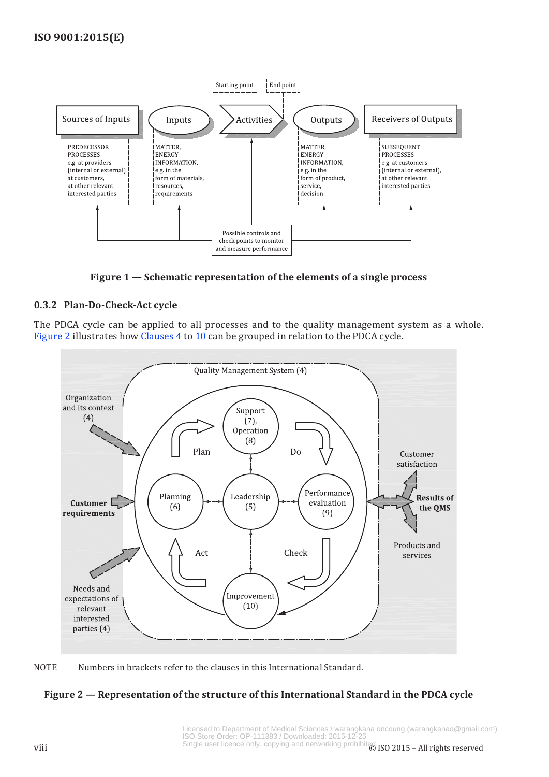

<span id="page-7-0"></span>**Figure 1 — Schematic representation of the elements of a single process**

#### **0.3.2 Plan-Do-Check-Act cycle**

The PDCA cycle can be applied to all processes and to the quality management system as a whole. [Figure](#page-7-1) 2 illustrates how [Clauses](#page-10-1) 4 to [10](#page-28-1) can be grouped in relation to the PDCA cycle.



NOTE Numbers in brackets refer to the clauses in this International Standard.

#### <span id="page-7-1"></span>**Figure 2 — Representation of the structure of this International Standard in the PDCA cycle**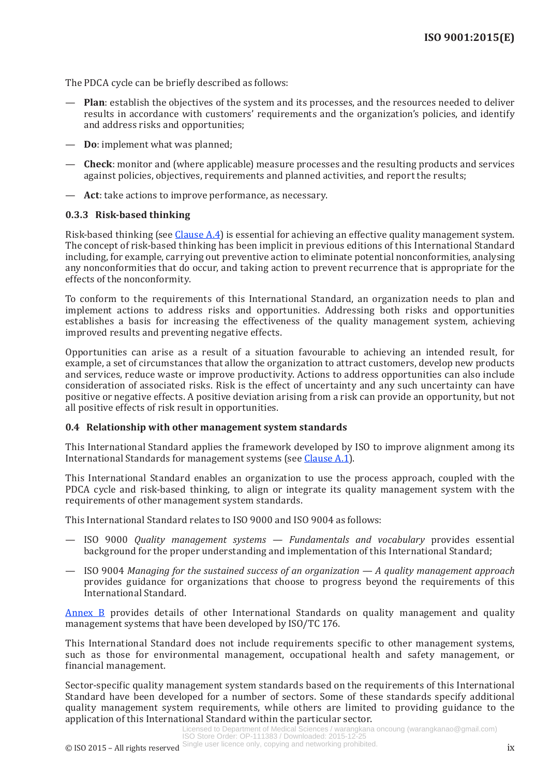The PDCA cycle can be briefly described as follows:

- **Plan**: establish the objectives of the system and its processes, and the resources needed to deliver results in accordance with customers' requirements and the organization's policies, and identify and address risks and opportunities;
- **Do**: implement what was planned;
- **Check**: monitor and (where applicable) measure processes and the resulting products and services against policies, objectives, requirements and planned activities, and report the results;
- **Act**: take actions to improve performance, as necessary.

#### **0.3.3 Risk-based thinking**

Risk-based thinking (see [Clause](#page-31-0) A.4) is essential for achieving an effective quality management system. The concept of risk-based thinking has been implicit in previous editions of this International Standard including, for example, carrying out preventive action to eliminate potential nonconformities, analysing any nonconformities that do occur, and taking action to prevent recurrence that is appropriate for the effects of the nonconformity.

To conform to the requirements of this International Standard, an organization needs to plan and implement actions to address risks and opportunities. Addressing both risks and opportunities establishes a basis for increasing the effectiveness of the quality management system, achieving improved results and preventing negative effects.

Opportunities can arise as a result of a situation favourable to achieving an intended result, for example, a set of circumstances that allow the organization to attract customers, develop new products and services, reduce waste or improve productivity. Actions to address opportunities can also include consideration of associated risks. Risk is the effect of uncertainty and any such uncertainty can have positive or negative effects. A positive deviation arising from a risk can provide an opportunity, but not all positive effects of risk result in opportunities.

#### **0.4 Relationship with other management system standards**

This International Standard applies the framework developed by ISO to improve alignment among its International Standards for management systems (see [Clause](#page-30-1) A.1).

This International Standard enables an organization to use the process approach, coupled with the PDCA cycle and risk-based thinking, to align or integrate its quality management system with the requirements of other management system standards.

This International Standard relates to ISO 9000 and ISO 9004 as follows:

- ISO 9000 *Quality management systems Fundamentals and vocabulary* provides essential background for the proper understanding and implementation of this International Standard;
- ISO 9004 *Managing for the sustained success of an organization A quality management approach* provides guidance for organizations that choose to progress beyond the requirements of this International Standard.

[Annex](#page-34-1) B provides details of other International Standards on quality management and quality management systems that have been developed by ISO/TC 176.

This International Standard does not include requirements specific to other management systems, such as those for environmental management, occupational health and safety management, or financial management.

Sector-specific quality management system standards based on the requirements of this International Standard have been developed for a number of sectors. Some of these standards specify additional quality management system requirements, while others are limited to providing guidance to the application of this International Standard within the particular sector.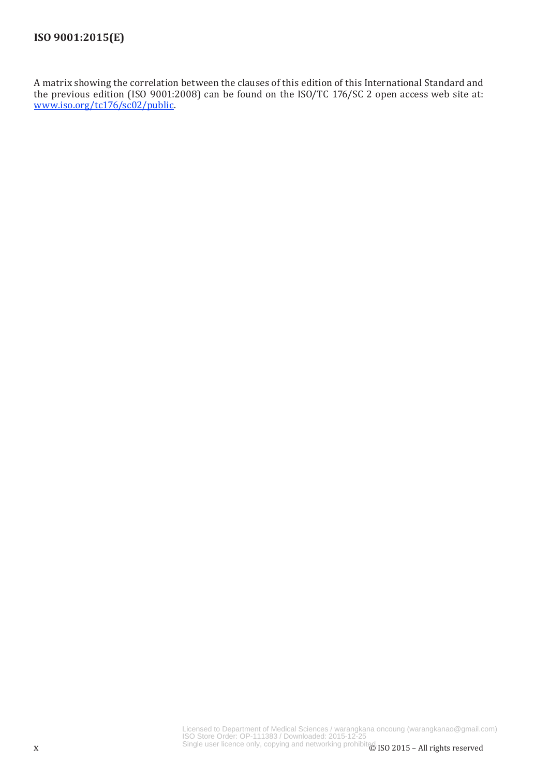A matrix showing the correlation between the clauses of this edition of this International Standard and the previous edition (ISO 9001:2008) can be found on the ISO/TC 176/SC 2 open access web site at: [www.iso.org/tc176/sc02/public.](http://www.iso.org/tc176/sc02/public)

> Licensed to Department of Medical Sciences / warangkana oncoung (warangkanao@gmail.com) ISO Store Order: OP-111383 / Downloaded: 2015-12-25 Single user licence only, copying and networking prohibited.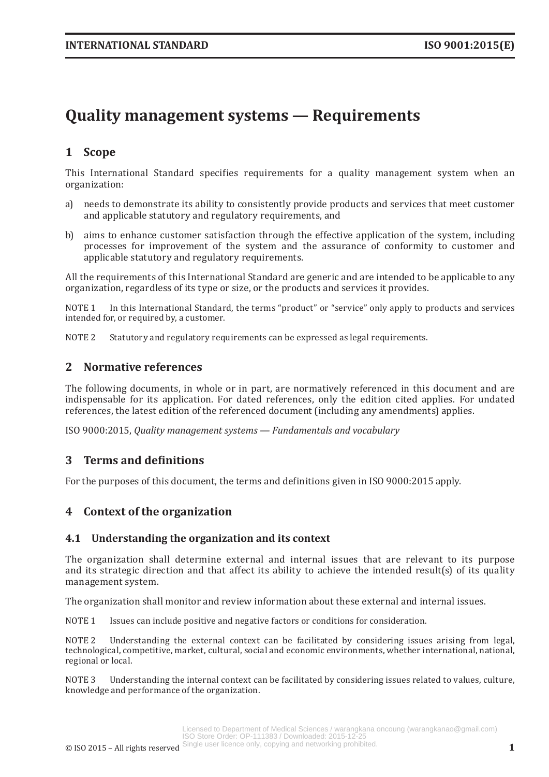## <span id="page-10-0"></span>**Quality management systems — Requirements**

## **1 Scope**

This International Standard specifies requirements for a quality management system when an organization:

- a) needs to demonstrate its ability to consistently provide products and services that meet customer and applicable statutory and regulatory requirements, and
- b) aims to enhance customer satisfaction through the effective application of the system, including processes for improvement of the system and the assurance of conformity to customer and applicable statutory and regulatory requirements.

All the requirements of this International Standard are generic and are intended to be applicable to any organization, regardless of its type or size, or the products and services it provides.

NOTE 1 In this International Standard, the terms "product" or "service" only apply to products and services intended for, or required by, a customer.

NOTE 2 Statutory and regulatory requirements can be expressed as legal requirements.

#### **2 Normative references**

The following documents, in whole or in part, are normatively referenced in this document and are indispensable for its application. For dated references, only the edition cited applies. For undated references, the latest edition of the referenced document (including any amendments) applies.

ISO 9000:2015, *Quality management systems — Fundamentals and vocabulary*

### **3 Terms and definitions**

For the purposes of this document, the terms and definitions given in ISO 9000:2015 apply.

#### <span id="page-10-1"></span>**4 Context of the organization**

#### <span id="page-10-2"></span>**4.1 Understanding the organization and its context**

The organization shall determine external and internal issues that are relevant to its purpose and its strategic direction and that affect its ability to achieve the intended result(s) of its quality management system.

The organization shall monitor and review information about these external and internal issues.

NOTE 1 Issues can include positive and negative factors or conditions for consideration.

NOTE 2 Understanding the external context can be facilitated by considering issues arising from legal, technological, competitive, market, cultural, social and economic environments, whether international, national, regional or local.

NOTE 3 Understanding the internal context can be facilitated by considering issues related to values, culture, knowledge and performance of the organization.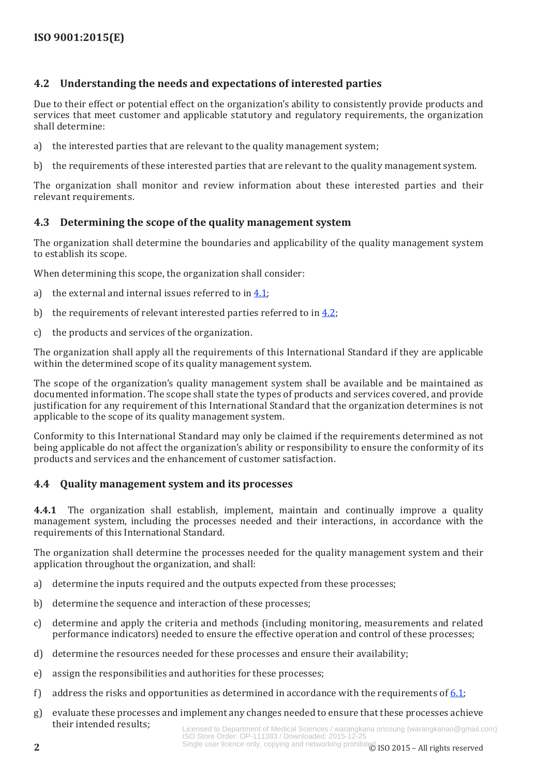### <span id="page-11-2"></span><span id="page-11-0"></span>**4.2 Understanding the needs and expectations of interested parties**

Due to their effect or potential effect on the organization's ability to consistently provide products and services that meet customer and applicable statutory and regulatory requirements, the organization shall determine:

- a) the interested parties that are relevant to the quality management system;
- b) the requirements of these interested parties that are relevant to the quality management system.

The organization shall monitor and review information about these interested parties and their relevant requirements.

#### <span id="page-11-3"></span>**4.3 Determining the scope of the quality management system**

The organization shall determine the boundaries and applicability of the quality management system to establish its scope.

When determining this scope, the organization shall consider:

- a) the external and internal issues referred to in  $4.1$ ;
- b) the requirements of relevant interested parties referred to in [4.2](#page-11-2);
- c) the products and services of the organization.

The organization shall apply all the requirements of this International Standard if they are applicable within the determined scope of its quality management system.

The scope of the organization's quality management system shall be available and be maintained as documented information. The scope shall state the types of products and services covered, and provide justification for any requirement of this International Standard that the organization determines is not applicable to the scope of its quality management system.

Conformity to this International Standard may only be claimed if the requirements determined as not being applicable do not affect the organization's ability or responsibility to ensure the conformity of its products and services and the enhancement of customer satisfaction.

#### <span id="page-11-1"></span>**4.4 Quality management system and its processes**

**4.4.1** The organization shall establish, implement, maintain and continually improve a quality management system, including the processes needed and their interactions, in accordance with the requirements of this International Standard.

The organization shall determine the processes needed for the quality management system and their application throughout the organization, and shall:

- a) determine the inputs required and the outputs expected from these processes;
- b) determine the sequence and interaction of these processes;
- c) determine and apply the criteria and methods (including monitoring, measurements and related performance indicators) needed to ensure the effective operation and control of these processes;
- d) determine the resources needed for these processes and ensure their availability;
- e) assign the responsibilities and authorities for these processes;
- f) address the risks and opportunities as determined in accordance with the requirements of  $6.1$ ;
- g) evaluate these processes and implement any changes needed to ensure that these processes achieve their intended results; Licensed to Department of Medical Sciences / warangkana oncoung (warangkanao@gmail.com)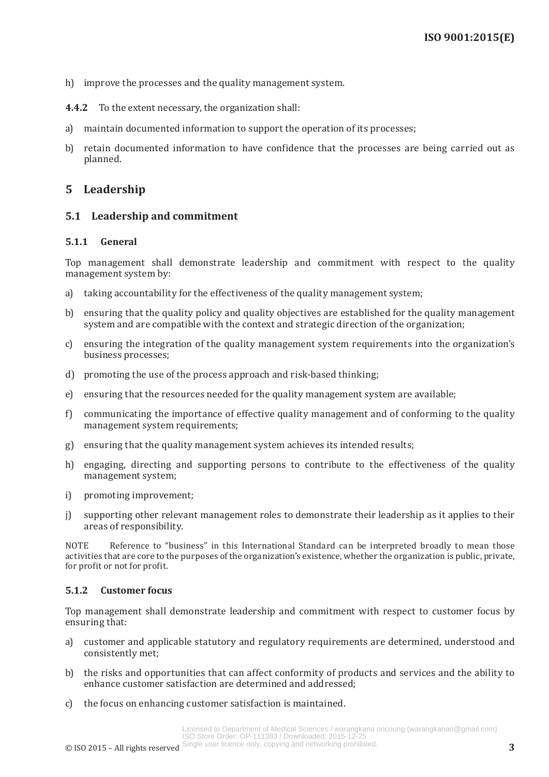- <span id="page-12-0"></span>h) improve the processes and the quality management system.
- **4.4.2** To the extent necessary, the organization shall:
- a) maintain documented information to support the operation of its processes;
- b) retain documented information to have confidence that the processes are being carried out as planned.

### **5 Leadership**

#### **5.1 Leadership and commitment**

#### **5.1.1 General**

Top management shall demonstrate leadership and commitment with respect to the quality management system by:

- a) taking accountability for the effectiveness of the quality management system;
- b) ensuring that the quality policy and quality objectives are established for the quality management system and are compatible with the context and strategic direction of the organization;
- c) ensuring the integration of the quality management system requirements into the organization's business processes;
- d) promoting the use of the process approach and risk-based thinking;
- e) ensuring that the resources needed for the quality management system are available;
- f) communicating the importance of effective quality management and of conforming to the quality management system requirements;
- g) ensuring that the quality management system achieves its intended results;
- h) engaging, directing and supporting persons to contribute to the effectiveness of the quality management system;
- i) promoting improvement;
- j) supporting other relevant management roles to demonstrate their leadership as it applies to their areas of responsibility.

NOTE Reference to "business" in this International Standard can be interpreted broadly to mean those activities that are core to the purposes of the organization's existence, whether the organization is public, private, for profit or not for profit.

#### **5.1.2 Customer focus**

Top management shall demonstrate leadership and commitment with respect to customer focus by ensuring that:

- a) customer and applicable statutory and regulatory requirements are determined, understood and consistently met;
- b) the risks and opportunities that can affect conformity of products and services and the ability to enhance customer satisfaction are determined and addressed;
- c) the focus on enhancing customer satisfaction is maintained.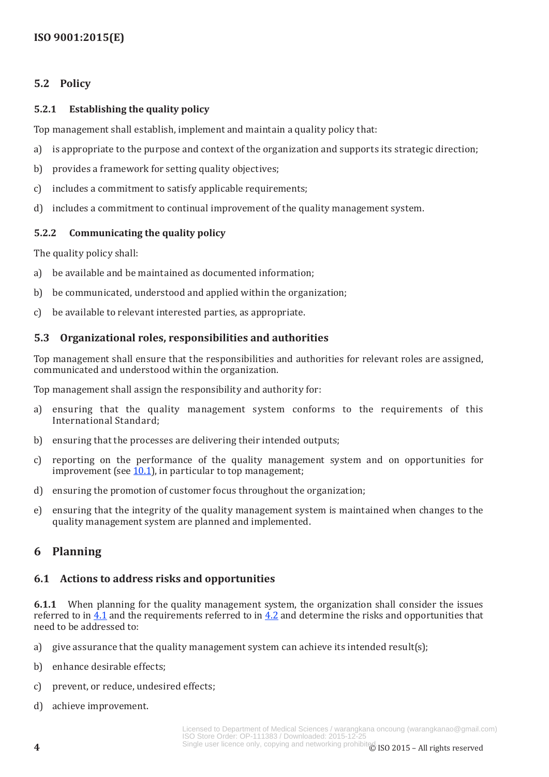### <span id="page-13-0"></span>**5.2 Policy**

#### **5.2.1 Establishing the quality policy**

Top management shall establish, implement and maintain a quality policy that:

- a) is appropriate to the purpose and context of the organization and supports its strategic direction;
- b) provides a framework for setting quality objectives;
- c) includes a commitment to satisfy applicable requirements;
- d) includes a commitment to continual improvement of the quality management system.

#### **5.2.2 Communicating the quality policy**

The quality policy shall:

- a) be available and be maintained as documented information;
- b) be communicated, understood and applied within the organization;
- c) be available to relevant interested parties, as appropriate.

#### <span id="page-13-3"></span>**5.3 Organizational roles, responsibilities and authorities**

Top management shall ensure that the responsibilities and authorities for relevant roles are assigned, communicated and understood within the organization.

Top management shall assign the responsibility and authority for:

- a) ensuring that the quality management system conforms to the requirements of this International Standard;
- b) ensuring that the processes are delivering their intended outputs;
- c) reporting on the performance of the quality management system and on opportunities for improvement (see  $10.1$ ), in particular to top management;
- d) ensuring the promotion of customer focus throughout the organization;
- e) ensuring that the integrity of the quality management system is maintained when changes to the quality management system are planned and implemented.

### <span id="page-13-2"></span>**6 Planning**

#### <span id="page-13-1"></span>**6.1 Actions to address risks and opportunities**

**6.1.1** When planning for the quality management system, the organization shall consider the issues referred to in [4.1](#page-10-2) and the requirements referred to in [4.2](#page-11-2) and determine the risks and opportunities that need to be addressed to:

- a) give assurance that the quality management system can achieve its intended result(s);
- b) enhance desirable effects;
- c) prevent, or reduce, undesired effects;
- d) achieve improvement.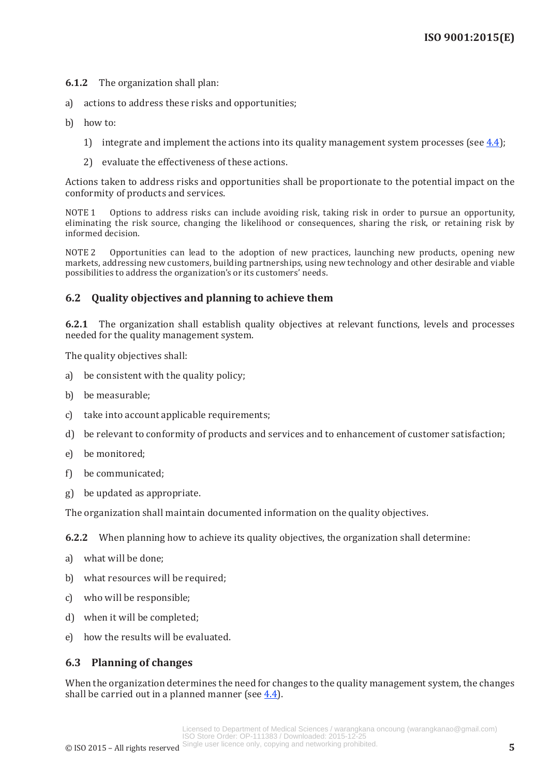<span id="page-14-0"></span>**6.1.2** The organization shall plan:

- a) actions to address these risks and opportunities;
- b) how to:
	- 1) integrate and implement the actions into its quality management system processes (see  $4.4$ );
	- 2) evaluate the effectiveness of these actions.

Actions taken to address risks and opportunities shall be proportionate to the potential impact on the conformity of products and services.

NOTE 1 Options to address risks can include avoiding risk, taking risk in order to pursue an opportunity, eliminating the risk source, changing the likelihood or consequences, sharing the risk, or retaining risk by informed decision.

NOTE 2 Opportunities can lead to the adoption of new practices, launching new products, opening new markets, addressing new customers, building partnerships, using new technology and other desirable and viable possibilities to address the organization's or its customers' needs.

#### <span id="page-14-1"></span>**6.2 Quality objectives and planning to achieve them**

**6.2.1** The organization shall establish quality objectives at relevant functions, levels and processes needed for the quality management system.

The quality objectives shall:

- a) be consistent with the quality policy;
- b) be measurable;
- c) take into account applicable requirements;
- d) be relevant to conformity of products and services and to enhancement of customer satisfaction;
- e) be monitored;
- f) be communicated;
- g) be updated as appropriate.

The organization shall maintain documented information on the quality objectives.

**6.2.2** When planning how to achieve its quality objectives, the organization shall determine:

- a) what will be done;
- b) what resources will be required;
- c) who will be responsible;
- d) when it will be completed;
- e) how the results will be evaluated.

#### **6.3 Planning of changes**

When the organization determines the need for changes to the quality management system, the changes shall be carried out in a planned manner (see [4.4\)](#page-11-1).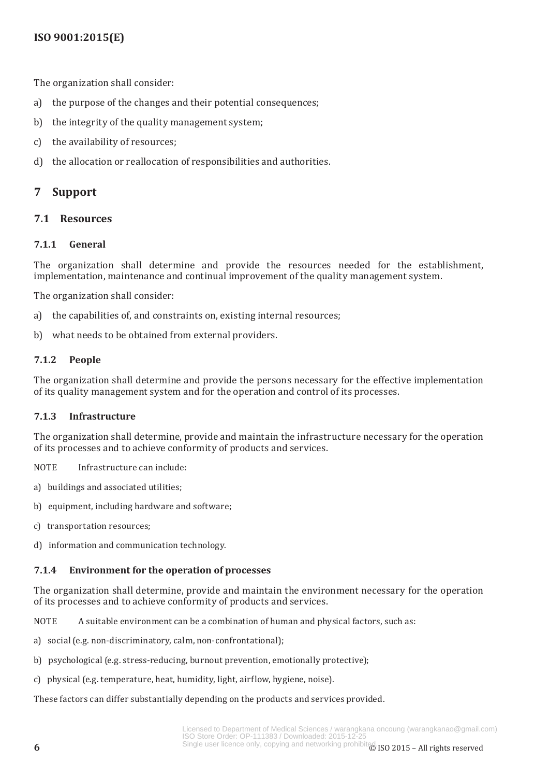## <span id="page-15-0"></span>**ISO 9001:2015(E)**

The organization shall consider:

- a) the purpose of the changes and their potential consequences;
- b) the integrity of the quality management system;
- c) the availability of resources;
- d) the allocation or reallocation of responsibilities and authorities.

#### **7 Support**

#### **7.1 Resources**

#### **7.1.1 General**

The organization shall determine and provide the resources needed for the establishment, implementation, maintenance and continual improvement of the quality management system.

The organization shall consider:

- a) the capabilities of, and constraints on, existing internal resources;
- b) what needs to be obtained from external providers.

#### **7.1.2 People**

The organization shall determine and provide the persons necessary for the effective implementation of its quality management system and for the operation and control of its processes.

#### **7.1.3 Infrastructure**

The organization shall determine, provide and maintain the infrastructure necessary for the operation of its processes and to achieve conformity of products and services.

- NOTE Infrastructure can include:
- a) buildings and associated utilities;
- b) equipment, including hardware and software;
- c) transportation resources;
- d) information and communication technology.

#### **7.1.4 Environment for the operation of processes**

The organization shall determine, provide and maintain the environment necessary for the operation of its processes and to achieve conformity of products and services.

NOTE A suitable environment can be a combination of human and physical factors, such as:

- a) social (e.g. non-discriminatory, calm, non-confrontational);
- b) psychological (e.g. stress-reducing, burnout prevention, emotionally protective);
- c) physical (e.g. temperature, heat, humidity, light, airflow, hygiene, noise).

These factors can differ substantially depending on the products and services provided.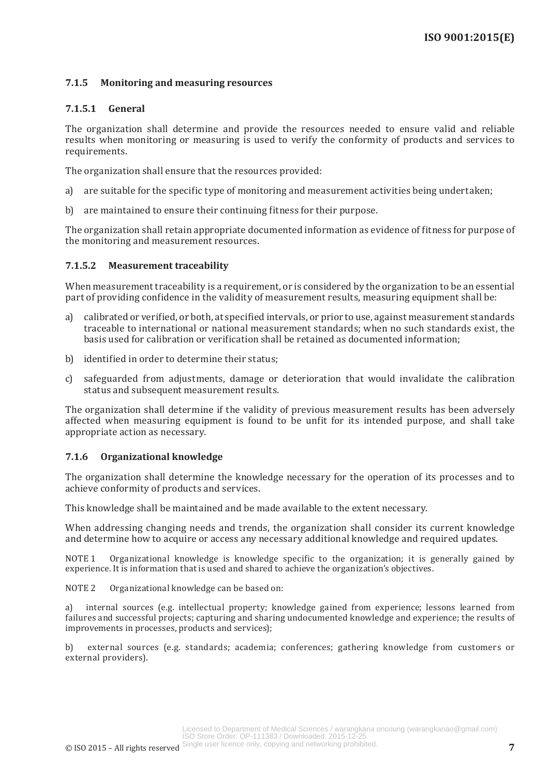#### <span id="page-16-2"></span><span id="page-16-0"></span>**7.1.5 Monitoring and measuring resources**

#### **7.1.5.1 General**

The organization shall determine and provide the resources needed to ensure valid and reliable results when monitoring or measuring is used to verify the conformity of products and services to requirements.

The organization shall ensure that the resources provided:

- a) are suitable for the specific type of monitoring and measurement activities being undertaken;
- b) are maintained to ensure their continuing fitness for their purpose.

The organization shall retain appropriate documented information as evidence of fitness for purpose of the monitoring and measurement resources.

#### **7.1.5.2 Measurement traceability**

When measurement traceability is a requirement, or is considered by the organization to be an essential part of providing confidence in the validity of measurement results, measuring equipment shall be:

- a) calibrated or verified, or both, at specified intervals, or prior to use, against measurement standards traceable to international or national measurement standards; when no such standards exist, the basis used for calibration or verification shall be retained as documented information;
- b) identified in order to determine their status;
- c) safeguarded from adjustments, damage or deterioration that would invalidate the calibration status and subsequent measurement results.

The organization shall determine if the validity of previous measurement results has been adversely affected when measuring equipment is found to be unfit for its intended purpose, and shall take appropriate action as necessary.

#### <span id="page-16-1"></span>**7.1.6 Organizational knowledge**

The organization shall determine the knowledge necessary for the operation of its processes and to achieve conformity of products and services.

This knowledge shall be maintained and be made available to the extent necessary.

When addressing changing needs and trends, the organization shall consider its current knowledge and determine how to acquire or access any necessary additional knowledge and required updates.

NOTE 1 Organizational knowledge is knowledge specific to the organization; it is generally gained by experience. It is information that is used and shared to achieve the organization's objectives.

NOTE 2 Organizational knowledge can be based on:

a) internal sources (e.g. intellectual property; knowledge gained from experience; lessons learned from failures and successful projects; capturing and sharing undocumented knowledge and experience; the results of improvements in processes, products and services);

b) external sources (e.g. standards; academia; conferences; gathering knowledge from customers or external providers).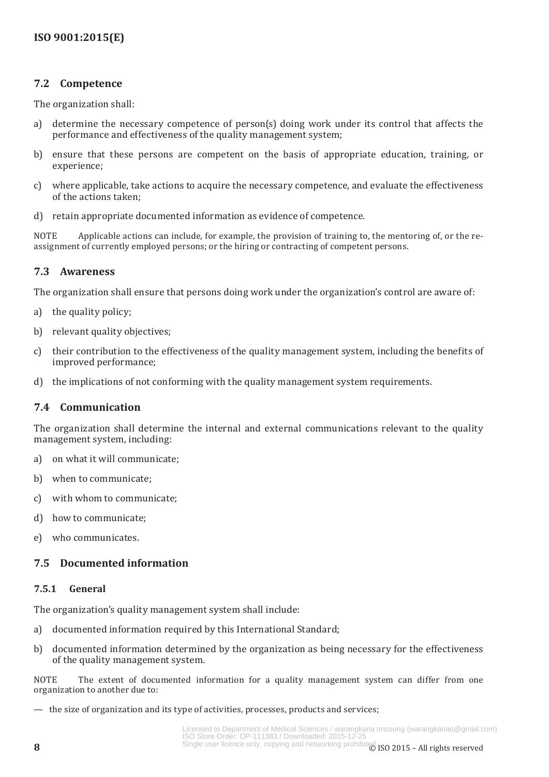#### <span id="page-17-2"></span><span id="page-17-0"></span>**7.2 Competence**

The organization shall:

- a) determine the necessary competence of person(s) doing work under its control that affects the performance and effectiveness of the quality management system;
- b) ensure that these persons are competent on the basis of appropriate education, training, or experience;
- c) where applicable, take actions to acquire the necessary competence, and evaluate the effectiveness of the actions taken;
- d) retain appropriate documented information as evidence of competence.

NOTE Applicable actions can include, for example, the provision of training to, the mentoring of, or the reassignment of currently employed persons; or the hiring or contracting of competent persons.

#### **7.3 Awareness**

The organization shall ensure that persons doing work under the organization's control are aware of:

- a) the quality policy;
- b) relevant quality objectives;
- c) their contribution to the effectiveness of the quality management system, including the benefits of improved performance;
- d) the implications of not conforming with the quality management system requirements.

#### **7.4 Communication**

The organization shall determine the internal and external communications relevant to the quality management system, including:

- a) on what it will communicate;
- b) when to communicate;
- c) with whom to communicate;
- d) how to communicate;
- e) who communicates.

#### <span id="page-17-1"></span>**7.5 Documented information**

#### **7.5.1 General**

The organization's quality management system shall include:

- a) documented information required by this International Standard;
- b) documented information determined by the organization as being necessary for the effectiveness of the quality management system.

NOTE The extent of documented information for a quality management system can differ from one organization to another due to:

— the size of organization and its type of activities, processes, products and services;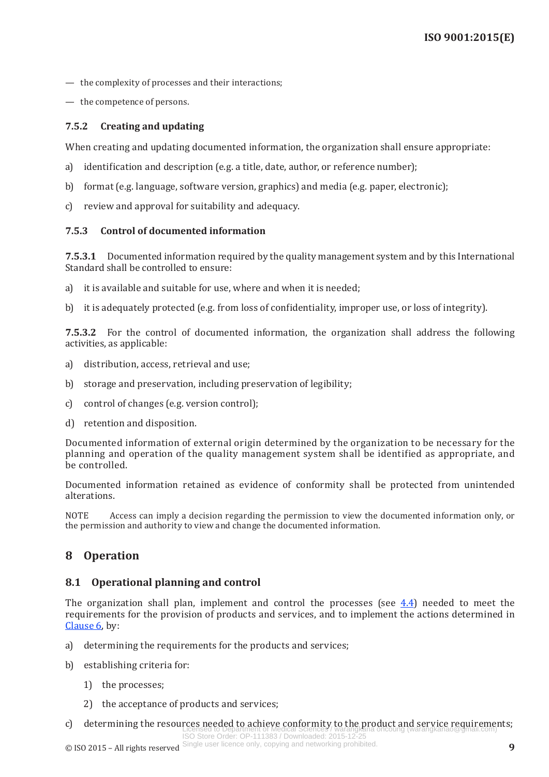- <span id="page-18-0"></span>— the complexity of processes and their interactions;
- the competence of persons.

#### **7.5.2 Creating and updating**

When creating and updating documented information, the organization shall ensure appropriate:

- a) identification and description (e.g. a title, date, author, or reference number);
- b) format (e.g. language, software version, graphics) and media (e.g. paper, electronic);
- c) review and approval for suitability and adequacy.

#### **7.5.3 Control of documented information**

**7.5.3.1** Documented information required by the quality management system and by this International Standard shall be controlled to ensure:

- a) it is available and suitable for use, where and when it is needed;
- b) it is adequately protected (e.g. from loss of confidentiality, improper use, or loss of integrity).

**7.5.3.2** For the control of documented information, the organization shall address the following activities, as applicable:

- a) distribution, access, retrieval and use;
- b) storage and preservation, including preservation of legibility;
- c) control of changes (e.g. version control);
- d) retention and disposition.

Documented information of external origin determined by the organization to be necessary for the planning and operation of the quality management system shall be identified as appropriate, and be controlled.

Documented information retained as evidence of conformity shall be protected from unintended alterations.

NOTE Access can imply a decision regarding the permission to view the documented information only, or the permission and authority to view and change the documented information.

### **8 Operation**

#### **8.1 Operational planning and control**

The organization shall plan, implement and control the processes (see [4.4\)](#page-11-1) needed to meet the requirements for the provision of products and services, and to implement the actions determined in [Clause](#page-13-2) 6, by:

- a) determining the requirements for the products and services;
- b) establishing criteria for:
	- 1) the processes;
	- 2) the acceptance of products and services;
- c) determining the resources needed to achieve conformity to the product and service requirements; Licensed to Department of Medical Sciences / warangkana oncoung (warangkanao@gmail.com) ISO Store Order: OP-111383 / Downloaded: 2015-12-25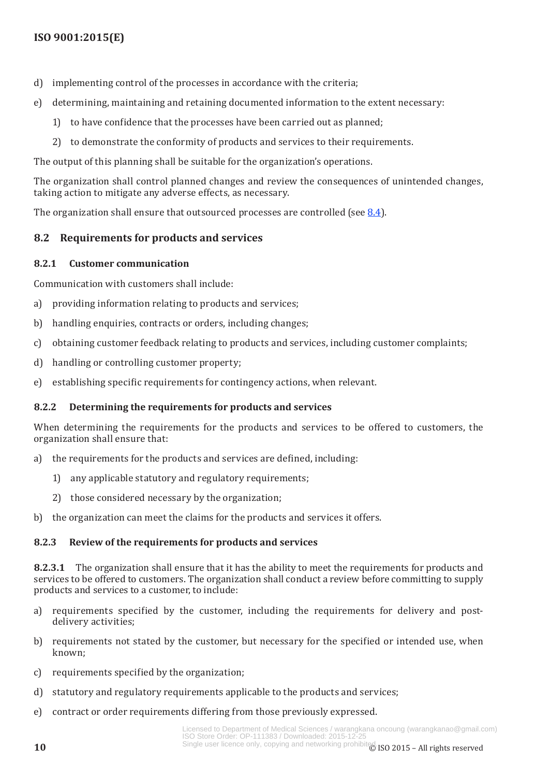- <span id="page-19-0"></span>d) implementing control of the processes in accordance with the criteria;
- e) determining, maintaining and retaining documented information to the extent necessary:
	- 1) to have confidence that the processes have been carried out as planned;
	- 2) to demonstrate the conformity of products and services to their requirements.

The output of this planning shall be suitable for the organization's operations.

The organization shall control planned changes and review the consequences of unintended changes, taking action to mitigate any adverse effects, as necessary.

The organization shall ensure that outsourced processes are controlled (see [8.4](#page-22-1)).

#### **8.2 Requirements for products and services**

#### <span id="page-19-2"></span>**8.2.1 Customer communication**

Communication with customers shall include:

- a) providing information relating to products and services;
- b) handling enquiries, contracts or orders, including changes;
- c) obtaining customer feedback relating to products and services, including customer complaints;
- d) handling or controlling customer property;
- e) establishing specific requirements for contingency actions, when relevant.

#### <span id="page-19-1"></span>**8.2.2 Determining the requirements for products and services**

When determining the requirements for the products and services to be offered to customers, the organization shall ensure that:

- a) the requirements for the products and services are defined, including:
	- 1) any applicable statutory and regulatory requirements;
	- 2) those considered necessary by the organization;
- b) the organization can meet the claims for the products and services it offers.

#### **8.2.3 Review of the requirements for products and services**

**8.2.3.1** The organization shall ensure that it has the ability to meet the requirements for products and services to be offered to customers. The organization shall conduct a review before committing to supply products and services to a customer, to include:

- a) requirements specified by the customer, including the requirements for delivery and postdelivery activities;
- b) requirements not stated by the customer, but necessary for the specified or intended use, when known;
- c) requirements specified by the organization;
- d) statutory and regulatory requirements applicable to the products and services;
- e) contract or order requirements differing from those previously expressed.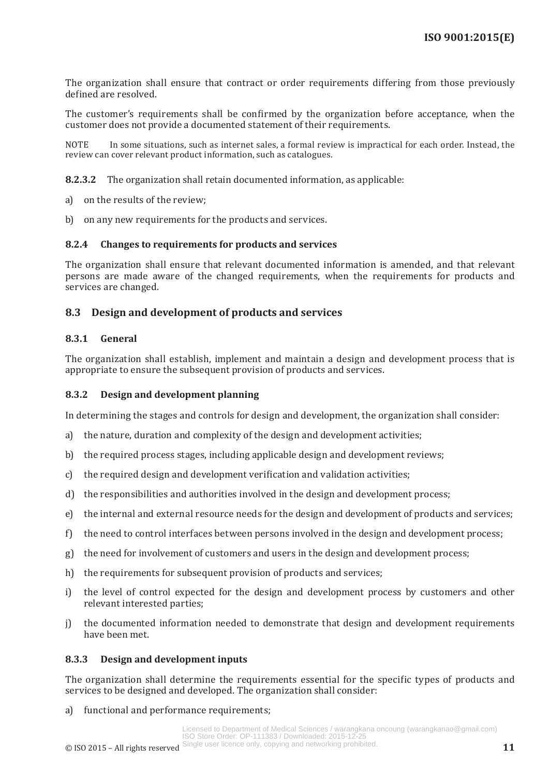<span id="page-20-0"></span>The organization shall ensure that contract or order requirements differing from those previously defined are resolved.

The customer's requirements shall be confirmed by the organization before acceptance, when the customer does not provide a documented statement of their requirements.

NOTE In some situations, such as internet sales, a formal review is impractical for each order. Instead, the review can cover relevant product information, such as catalogues.

**8.2.3.2** The organization shall retain documented information, as applicable:

- a) on the results of the review;
- b) on any new requirements for the products and services.

#### **8.2.4 Changes to requirements for products and services**

The organization shall ensure that relevant documented information is amended, and that relevant persons are made aware of the changed requirements, when the requirements for products and services are changed.

#### **8.3 Design and development of products and services**

#### **8.3.1 General**

The organization shall establish, implement and maintain a design and development process that is appropriate to ensure the subsequent provision of products and services.

#### **8.3.2 Design and development planning**

In determining the stages and controls for design and development, the organization shall consider:

- a) the nature, duration and complexity of the design and development activities;
- b) the required process stages, including applicable design and development reviews;
- c) the required design and development verification and validation activities;
- d) the responsibilities and authorities involved in the design and development process;
- e) the internal and external resource needs for the design and development of products and services;
- f) the need to control interfaces between persons involved in the design and development process;
- g) the need for involvement of customers and users in the design and development process;
- h) the requirements for subsequent provision of products and services;
- i) the level of control expected for the design and development process by customers and other relevant interested parties;
- j) the documented information needed to demonstrate that design and development requirements have been met.

#### **8.3.3 Design and development inputs**

The organization shall determine the requirements essential for the specific types of products and services to be designed and developed. The organization shall consider:

a) functional and performance requirements;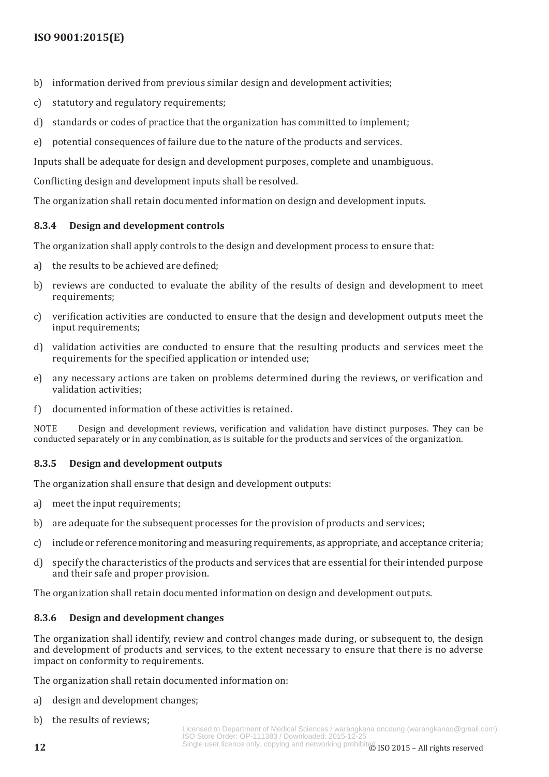## <span id="page-21-0"></span>**ISO 9001:2015(E)**

- b) information derived from previous similar design and development activities;
- c) statutory and regulatory requirements;
- d) standards or codes of practice that the organization has committed to implement;
- e) potential consequences of failure due to the nature of the products and services.

Inputs shall be adequate for design and development purposes, complete and unambiguous.

Conflicting design and development inputs shall be resolved.

The organization shall retain documented information on design and development inputs.

#### **8.3.4 Design and development controls**

The organization shall apply controls to the design and development process to ensure that:

- a) the results to be achieved are defined;
- b) reviews are conducted to evaluate the ability of the results of design and development to meet requirements;
- c) verification activities are conducted to ensure that the design and development outputs meet the input requirements;
- d) validation activities are conducted to ensure that the resulting products and services meet the requirements for the specified application or intended use;
- e) any necessary actions are taken on problems determined during the reviews, or verification and validation activities;
- f) documented information of these activities is retained.

NOTE Design and development reviews, verification and validation have distinct purposes. They can be conducted separately or in any combination, as is suitable for the products and services of the organization.

#### **8.3.5 Design and development outputs**

The organization shall ensure that design and development outputs:

- a) meet the input requirements:
- b) are adequate for the subsequent processes for the provision of products and services;
- c) include or reference monitoring and measuring requirements, as appropriate, and acceptance criteria;
- d) specify the characteristics of the products and services that are essential for their intended purpose and their safe and proper provision.

The organization shall retain documented information on design and development outputs.

#### **8.3.6 Design and development changes**

The organization shall identify, review and control changes made during, or subsequent to, the design and development of products and services, to the extent necessary to ensure that there is no adverse impact on conformity to requirements.

The organization shall retain documented information on:

- a) design and development changes;
- b) the results of reviews;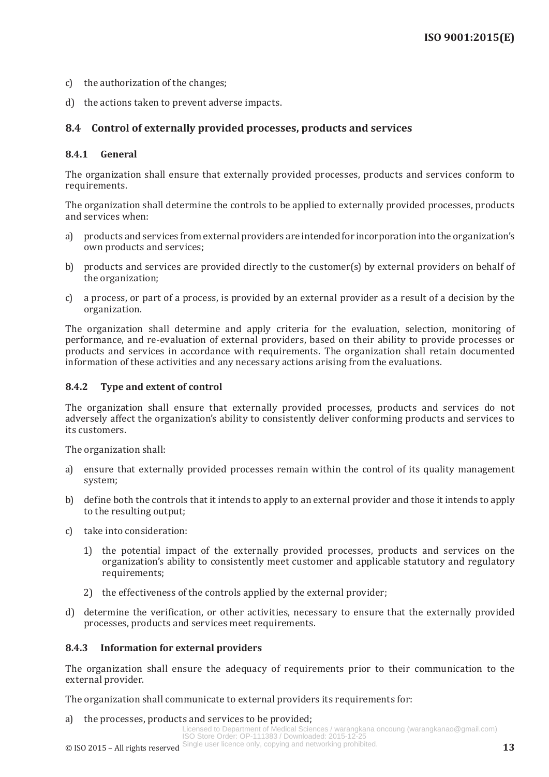- <span id="page-22-0"></span>c) the authorization of the changes;
- d) the actions taken to prevent adverse impacts.

#### <span id="page-22-1"></span>**8.4 Control of externally provided processes, products and services**

#### **8.4.1 General**

The organization shall ensure that externally provided processes, products and services conform to requirements.

The organization shall determine the controls to be applied to externally provided processes, products and services when:

- a) products and services from external providers are intended for incorporation into the organization's own products and services;
- b) products and services are provided directly to the customer(s) by external providers on behalf of the organization;
- c) a process, or part of a process, is provided by an external provider as a result of a decision by the organization.

The organization shall determine and apply criteria for the evaluation, selection, monitoring of performance, and re-evaluation of external providers, based on their ability to provide processes or products and services in accordance with requirements. The organization shall retain documented information of these activities and any necessary actions arising from the evaluations.

#### **8.4.2 Type and extent of control**

The organization shall ensure that externally provided processes, products and services do not adversely affect the organization's ability to consistently deliver conforming products and services to its customers.

The organization shall:

- a) ensure that externally provided processes remain within the control of its quality management system;
- b) define both the controls that it intends to apply to an external provider and those it intends to apply to the resulting output;
- c) take into consideration:
	- 1) the potential impact of the externally provided processes, products and services on the organization's ability to consistently meet customer and applicable statutory and regulatory requirements;
	- 2) the effectiveness of the controls applied by the external provider;
- d) determine the verification, or other activities, necessary to ensure that the externally provided processes, products and services meet requirements.

#### **8.4.3 Information for external providers**

The organization shall ensure the adequacy of requirements prior to their communication to the external provider.

The organization shall communicate to external providers its requirements for:

a) the processes, products and services to be provided;

 Licensed to Department of Medical Sciences / warangkana oncoung (warangkanao@gmail.com) ISO Store Order: OP-111383 / Downloaded: 2015-12-25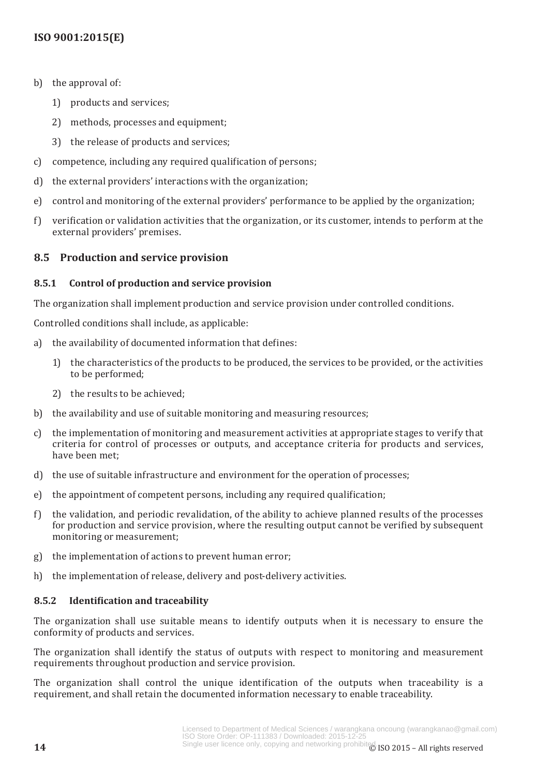## <span id="page-23-0"></span>**ISO 9001:2015(E)**

- b) the approval of:
	- 1) products and services;
	- 2) methods, processes and equipment;
	- 3) the release of products and services;
- c) competence, including any required qualification of persons;
- d) the external providers' interactions with the organization;
- e) control and monitoring of the external providers' performance to be applied by the organization;
- f) verification or validation activities that the organization, or its customer, intends to perform at the external providers' premises.

#### **8.5 Production and service provision**

#### <span id="page-23-1"></span>**8.5.1 Control of production and service provision**

The organization shall implement production and service provision under controlled conditions.

Controlled conditions shall include, as applicable:

- a) the availability of documented information that defines:
	- 1) the characteristics of the products to be produced, the services to be provided, or the activities to be performed;
	- 2) the results to be achieved;
- b) the availability and use of suitable monitoring and measuring resources;
- c) the implementation of monitoring and measurement activities at appropriate stages to verify that criteria for control of processes or outputs, and acceptance criteria for products and services, have been met;
- d) the use of suitable infrastructure and environment for the operation of processes;
- e) the appointment of competent persons, including any required qualification;
- f) the validation, and periodic revalidation, of the ability to achieve planned results of the processes for production and service provision, where the resulting output cannot be verified by subsequent monitoring or measurement;
- g) the implementation of actions to prevent human error;
- h) the implementation of release, delivery and post-delivery activities.

#### <span id="page-23-2"></span>**8.5.2 Identification and traceability**

The organization shall use suitable means to identify outputs when it is necessary to ensure the conformity of products and services.

The organization shall identify the status of outputs with respect to monitoring and measurement requirements throughout production and service provision.

The organization shall control the unique identification of the outputs when traceability is a requirement, and shall retain the documented information necessary to enable traceability.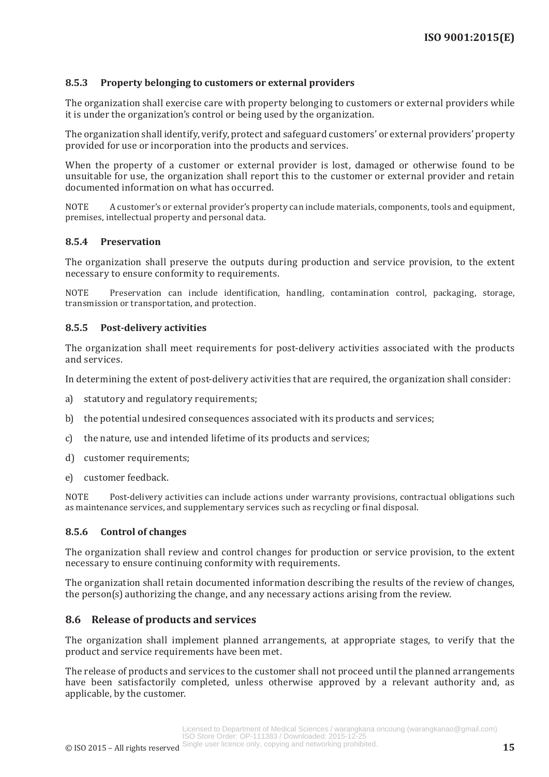#### <span id="page-24-0"></span>**8.5.3 Property belonging to customers or external providers**

The organization shall exercise care with property belonging to customers or external providers while it is under the organization's control or being used by the organization.

The organization shall identify, verify, protect and safeguard customers' or external providers' property provided for use or incorporation into the products and services.

When the property of a customer or external provider is lost, damaged or otherwise found to be unsuitable for use, the organization shall report this to the customer or external provider and retain documented information on what has occurred.

NOTE A customer's or external provider's property can include materials, components, tools and equipment, premises, intellectual property and personal data.

#### **8.5.4 Preservation**

The organization shall preserve the outputs during production and service provision, to the extent necessary to ensure conformity to requirements.

NOTE Preservation can include identification, handling, contamination control, packaging, storage, transmission or transportation, and protection.

#### **8.5.5 Post-delivery activities**

The organization shall meet requirements for post-delivery activities associated with the products and services.

In determining the extent of post-delivery activities that are required, the organization shall consider:

- a) statutory and regulatory requirements;
- b) the potential undesired consequences associated with its products and services;
- c) the nature, use and intended lifetime of its products and services;
- d) customer requirements;
- e) customer feedback.

NOTE Post-delivery activities can include actions under warranty provisions, contractual obligations such as maintenance services, and supplementary services such as recycling or final disposal.

#### **8.5.6 Control of changes**

The organization shall review and control changes for production or service provision, to the extent necessary to ensure continuing conformity with requirements.

The organization shall retain documented information describing the results of the review of changes, the person(s) authorizing the change, and any necessary actions arising from the review.

#### **8.6 Release of products and services**

The organization shall implement planned arrangements, at appropriate stages, to verify that the product and service requirements have been met.

The release of products and services to the customer shall not proceed until the planned arrangements have been satisfactorily completed, unless otherwise approved by a relevant authority and, as applicable, by the customer.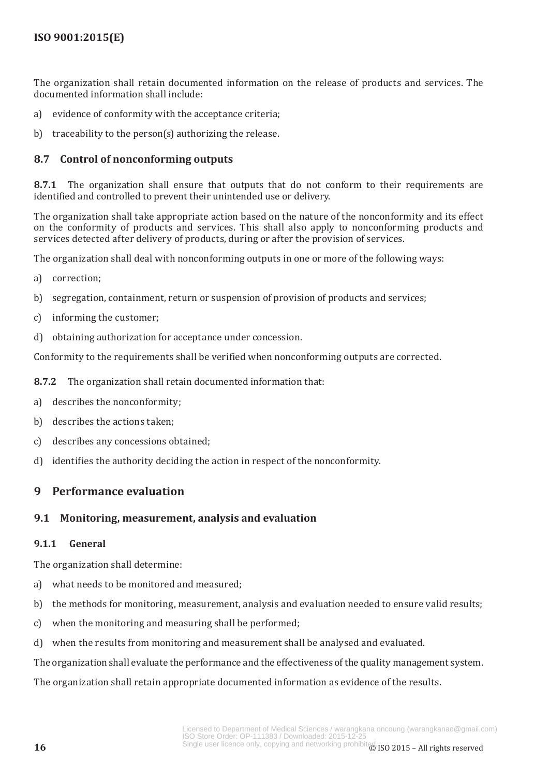<span id="page-25-0"></span>The organization shall retain documented information on the release of products and services. The documented information shall include:

- a) evidence of conformity with the acceptance criteria;
- b) traceability to the person(s) authorizing the release.

### **8.7 Control of nonconforming outputs**

**8.7.1** The organization shall ensure that outputs that do not conform to their requirements are identified and controlled to prevent their unintended use or delivery.

The organization shall take appropriate action based on the nature of the nonconformity and its effect on the conformity of products and services. This shall also apply to nonconforming products and services detected after delivery of products, during or after the provision of services.

The organization shall deal with nonconforming outputs in one or more of the following ways:

- a) correction;
- b) segregation, containment, return or suspension of provision of products and services;
- c) informing the customer;
- d) obtaining authorization for acceptance under concession.

Conformity to the requirements shall be verified when nonconforming outputs are corrected.

- **8.7.2** The organization shall retain documented information that:
- a) describes the nonconformity;
- b) describes the actions taken;
- c) describes any concessions obtained;
- d) identifies the authority deciding the action in respect of the nonconformity.

### **9 Performance evaluation**

#### <span id="page-25-1"></span>**9.1 Monitoring, measurement, analysis and evaluation**

#### **9.1.1 General**

The organization shall determine:

- a) what needs to be monitored and measured;
- b) the methods for monitoring, measurement, analysis and evaluation needed to ensure valid results;
- c) when the monitoring and measuring shall be performed;
- d) when the results from monitoring and measurement shall be analysed and evaluated.

The organization shall evaluate the performance and the effectiveness of the quality management system.

The organization shall retain appropriate documented information as evidence of the results.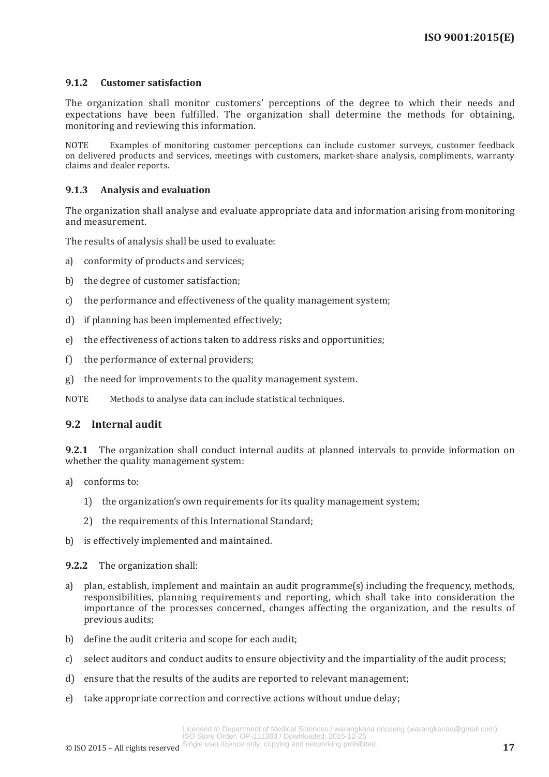#### <span id="page-26-1"></span><span id="page-26-0"></span>**9.1.2 Customer satisfaction**

The organization shall monitor customers' perceptions of the degree to which their needs and expectations have been fulfilled. The organization shall determine the methods for obtaining, monitoring and reviewing this information.

NOTE Examples of monitoring customer perceptions can include customer surveys, customer feedback on delivered products and services, meetings with customers, market-share analysis, compliments, warranty claims and dealer reports.

#### <span id="page-26-2"></span>**9.1.3 Analysis and evaluation**

The organization shall analyse and evaluate appropriate data and information arising from monitoring and measurement.

The results of analysis shall be used to evaluate:

- a) conformity of products and services;
- b) the degree of customer satisfaction;
- c) the performance and effectiveness of the quality management system;
- d) if planning has been implemented effectively;
- e) the effectiveness of actions taken to address risks and opportunities;
- f) the performance of external providers;
- g) the need for improvements to the quality management system.

NOTE Methods to analyse data can include statistical techniques.

#### <span id="page-26-3"></span>**9.2 Internal audit**

**9.2.1** The organization shall conduct internal audits at planned intervals to provide information on whether the quality management system:

- a) conforms to:
	- 1) the organization's own requirements for its quality management system;
	- 2) the requirements of this International Standard;
- b) is effectively implemented and maintained.
- **9.2.2** The organization shall:
- a) plan, establish, implement and maintain an audit programme(s) including the frequency, methods, responsibilities, planning requirements and reporting, which shall take into consideration the importance of the processes concerned, changes affecting the organization, and the results of previous audits;
- b) define the audit criteria and scope for each audit;
- c) select auditors and conduct audits to ensure objectivity and the impartiality of the audit process;
- d) ensure that the results of the audits are reported to relevant management;
- e) take appropriate correction and corrective actions without undue delay;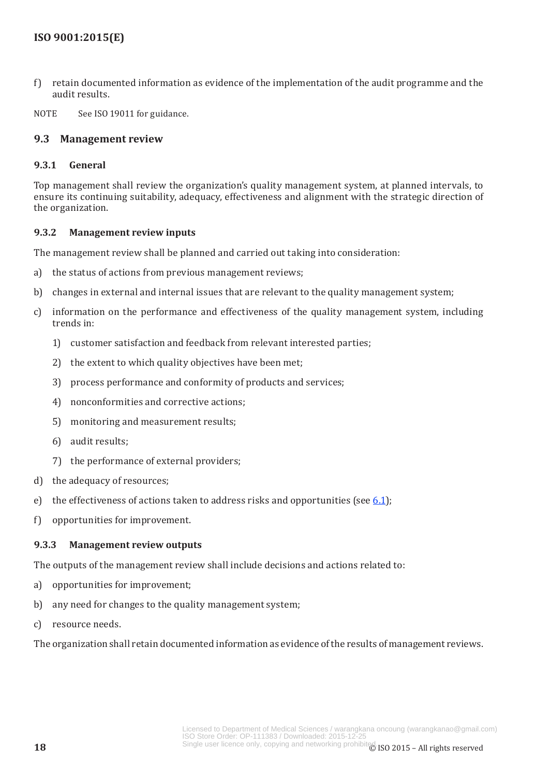- <span id="page-27-0"></span>f) retain documented information as evidence of the implementation of the audit programme and the audit results.
- NOTE See ISO 19011 for guidance.

#### **9.3 Management review**

#### **9.3.1 General**

Top management shall review the organization's quality management system, at planned intervals, to ensure its continuing suitability, adequacy, effectiveness and alignment with the strategic direction of the organization.

#### **9.3.2 Management review inputs**

The management review shall be planned and carried out taking into consideration:

- a) the status of actions from previous management reviews;
- b) changes in external and internal issues that are relevant to the quality management system;
- c) information on the performance and effectiveness of the quality management system, including trends in:
	- 1) customer satisfaction and feedback from relevant interested parties;
	- 2) the extent to which quality objectives have been met;
	- 3) process performance and conformity of products and services;
	- 4) nonconformities and corrective actions;
	- 5) monitoring and measurement results;
	- 6) audit results;
	- 7) the performance of external providers;
- d) the adequacy of resources;
- e) the effectiveness of actions taken to address risks and opportunities (see [6.1](#page-13-1));
- f) opportunities for improvement.

#### **9.3.3 Management review outputs**

The outputs of the management review shall include decisions and actions related to:

- a) opportunities for improvement;
- b) any need for changes to the quality management system;
- c) resource needs.

The organization shall retain documented information as evidence of the results of management reviews.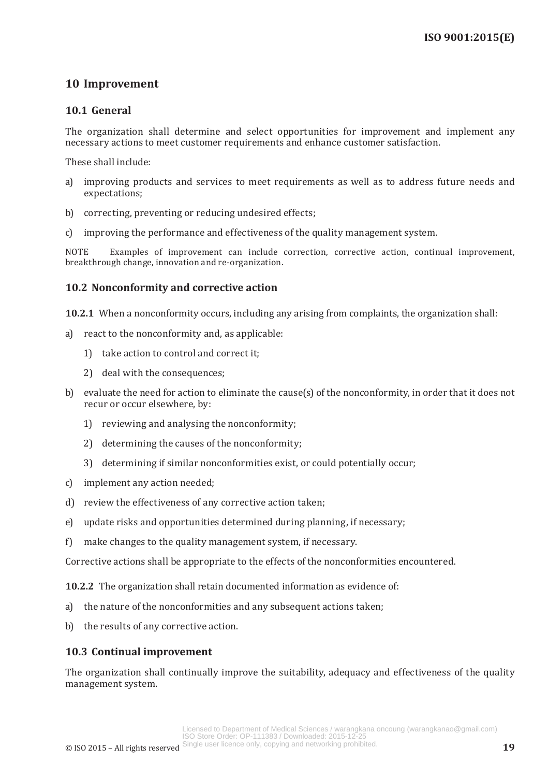## <span id="page-28-1"></span><span id="page-28-0"></span>**10 Improvement**

#### <span id="page-28-2"></span>**10.1 General**

The organization shall determine and select opportunities for improvement and implement any necessary actions to meet customer requirements and enhance customer satisfaction.

These shall include:

- a) improving products and services to meet requirements as well as to address future needs and expectations;
- b) correcting, preventing or reducing undesired effects;
- c) improving the performance and effectiveness of the quality management system.

NOTE Examples of improvement can include correction, corrective action, continual improvement, breakthrough change, innovation and re-organization.

#### <span id="page-28-4"></span>**10.2 Nonconformity and corrective action**

<span id="page-28-3"></span>**10.2.1** When a nonconformity occurs, including any arising from complaints, the organization shall:

- a) react to the nonconformity and, as applicable:
	- 1) take action to control and correct it;
	- 2) deal with the consequences;
- b) evaluate the need for action to eliminate the cause(s) of the nonconformity, in order that it does not recur or occur elsewhere, by:
	- 1) reviewing and analysing the nonconformity;
	- 2) determining the causes of the nonconformity;
	- 3) determining if similar nonconformities exist, or could potentially occur;
- c) implement any action needed;
- d) review the effectiveness of any corrective action taken;
- e) update risks and opportunities determined during planning, if necessary;
- f) make changes to the quality management system, if necessary.

Corrective actions shall be appropriate to the effects of the nonconformities encountered.

**10.2.2** The organization shall retain documented information as evidence of:

- a) the nature of the nonconformities and any subsequent actions taken;
- b) the results of any corrective action.

#### **10.3 Continual improvement**

The organization shall continually improve the suitability, adequacy and effectiveness of the quality management system.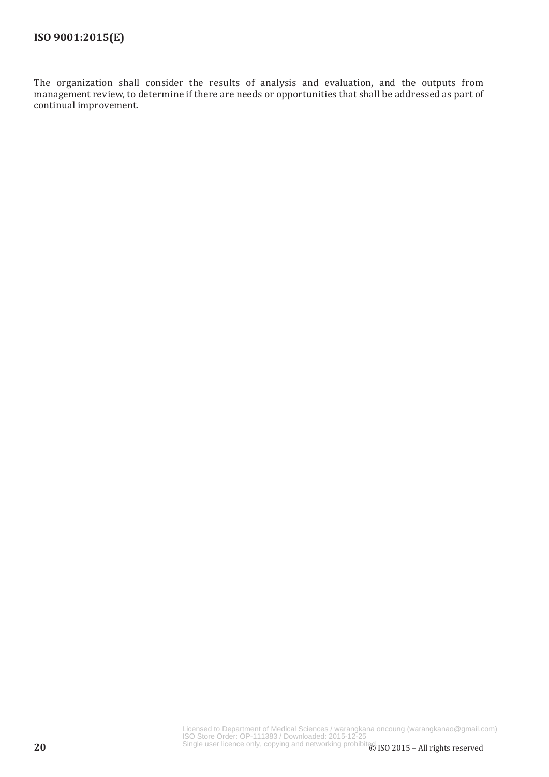The organization shall consider the results of analysis and evaluation, and the outputs from management review, to determine if there are needs or opportunities that shall be addressed as part of continual improvement.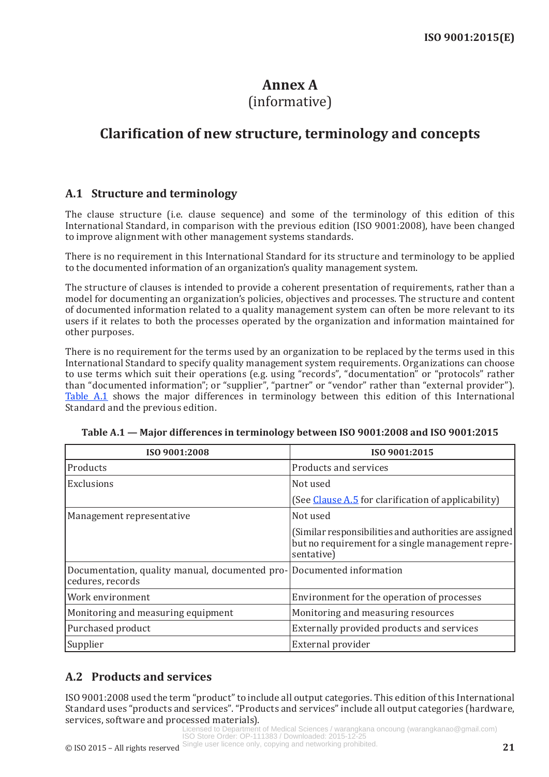## **Annex A** (informative)

## <span id="page-30-0"></span>**Clarification of new structure, terminology and concepts**

## <span id="page-30-1"></span>**A.1 Structure and terminology**

The clause structure (i.e. clause sequence) and some of the terminology of this edition of this International Standard, in comparison with the previous edition (ISO 9001:2008), have been changed to improve alignment with other management systems standards.

There is no requirement in this International Standard for its structure and terminology to be applied to the documented information of an organization's quality management system.

The structure of clauses is intended to provide a coherent presentation of requirements, rather than a model for documenting an organization's policies, objectives and processes. The structure and content of documented information related to a quality management system can often be more relevant to its users if it relates to both the processes operated by the organization and information maintained for other purposes.

There is no requirement for the terms used by an organization to be replaced by the terms used in this International Standard to specify quality management system requirements. Organizations can choose to use terms which suit their operations (e.g. using "records", "documentation" or "protocols" rather than "documented information"; or "supplier", "partner" or "vendor" rather than "external provider"). [Table](#page-30-2) A.1 shows the major differences in terminology between this edition of this International Standard and the previous edition.

| ISO 9001:2008                                                                                 | ISO 9001:2015                                                                                                             |
|-----------------------------------------------------------------------------------------------|---------------------------------------------------------------------------------------------------------------------------|
| Products                                                                                      | Products and services                                                                                                     |
| Exclusions                                                                                    | Not used                                                                                                                  |
|                                                                                               | (See Clause A.5 for clarification of applicability)                                                                       |
| Management representative                                                                     | Not used                                                                                                                  |
|                                                                                               | (Similar responsibilities and authorities are assigned<br>but no requirement for a single management repre-<br>sentative) |
| Documentation, quality manual, documented pro-<br> Documented information<br>cedures, records |                                                                                                                           |
| Work environment                                                                              | Environment for the operation of processes                                                                                |
| Monitoring and measuring equipment                                                            | Monitoring and measuring resources                                                                                        |
| Purchased product                                                                             | Externally provided products and services                                                                                 |
| Supplier                                                                                      | External provider                                                                                                         |

<span id="page-30-2"></span>**Table A.1 — Major differences in terminology between ISO 9001:2008 and ISO 9001:2015**

### **A.2 Products and services**

ISO 9001:2008 used the term "product" to include all output categories. This edition of this International Standard uses "products and services". "Products and services" include all output categories (hardware, services, software and processed materials).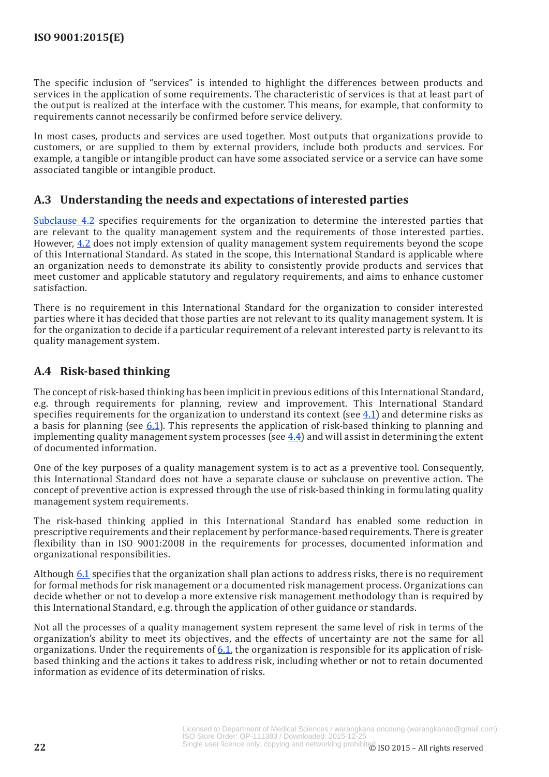The specific inclusion of "services" is intended to highlight the differences between products and services in the application of some requirements. The characteristic of services is that at least part of the output is realized at the interface with the customer. This means, for example, that conformity to requirements cannot necessarily be confirmed before service delivery.

In most cases, products and services are used together. Most outputs that organizations provide to customers, or are supplied to them by external providers, include both products and services. For example, a tangible or intangible product can have some associated service or a service can have some associated tangible or intangible product.

## **A.3 Understanding the needs and expectations of interested parties**

[Subclause 4.2](#page-11-2) specifies requirements for the organization to determine the interested parties that are relevant to the quality management system and the requirements of those interested parties. However, [4.2](#page-11-2) does not imply extension of quality management system requirements beyond the scope of this International Standard. As stated in the scope, this International Standard is applicable where an organization needs to demonstrate its ability to consistently provide products and services that meet customer and applicable statutory and regulatory requirements, and aims to enhance customer satisfaction.

There is no requirement in this International Standard for the organization to consider interested parties where it has decided that those parties are not relevant to its quality management system. It is for the organization to decide if a particular requirement of a relevant interested party is relevant to its quality management system.

## <span id="page-31-0"></span>**A.4 Risk-based thinking**

The concept of risk-based thinking has been implicit in previous editions of this International Standard, e.g. through requirements for planning, review and improvement. This International Standard specifies requirements for the organization to understand its context (see [4.1\)](#page-10-2) and determine risks as a basis for planning (see  $6.1$ ). This represents the application of risk-based thinking to planning and implementing quality management system processes (see  $4.4$ ) and will assist in determining the extent of documented information.

One of the key purposes of a quality management system is to act as a preventive tool. Consequently, this International Standard does not have a separate clause or subclause on preventive action. The concept of preventive action is expressed through the use of risk-based thinking in formulating quality management system requirements.

The risk-based thinking applied in this International Standard has enabled some reduction in prescriptive requirements and their replacement by performance-based requirements. There is greater flexibility than in ISO 9001:2008 in the requirements for processes, documented information and organizational responsibilities.

Although [6.1](#page-13-1) specifies that the organization shall plan actions to address risks, there is no requirement for formal methods for risk management or a documented risk management process. Organizations can decide whether or not to develop a more extensive risk management methodology than is required by this International Standard, e.g. through the application of other guidance or standards.

Not all the processes of a quality management system represent the same level of risk in terms of the organization's ability to meet its objectives, and the effects of uncertainty are not the same for all organizations. Under the requirements of  $6.1$ , the organization is responsible for its application of riskbased thinking and the actions it takes to address risk, including whether or not to retain documented information as evidence of its determination of risks.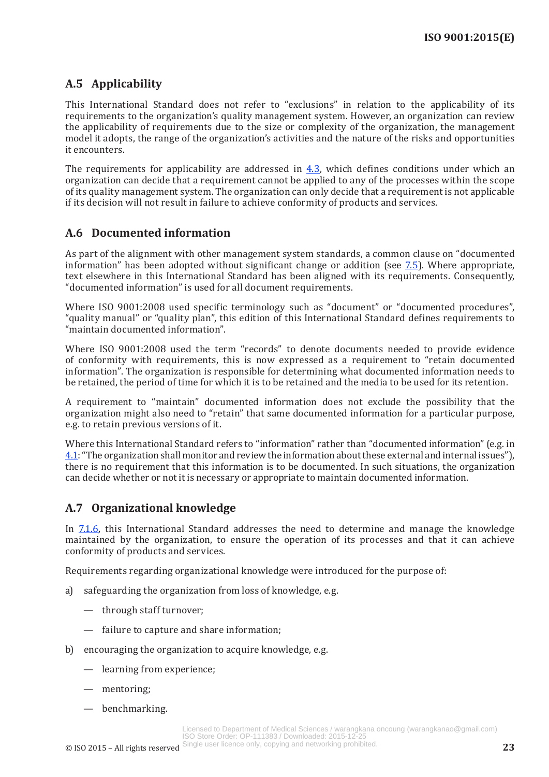## <span id="page-32-0"></span>**A.5 Applicability**

This International Standard does not refer to "exclusions" in relation to the applicability of its requirements to the organization's quality management system. However, an organization can review the applicability of requirements due to the size or complexity of the organization, the management model it adopts, the range of the organization's activities and the nature of the risks and opportunities it encounters.

The requirements for applicability are addressed in  $4.3$ , which defines conditions under which an organization can decide that a requirement cannot be applied to any of the processes within the scope of its quality management system. The organization can only decide that a requirement is not applicable if its decision will not result in failure to achieve conformity of products and services.

## **A.6 Documented information**

As part of the alignment with other management system standards, a common clause on "documented information" has been adopted without significant change or addition (see  $7.5$ ). Where appropriate, text elsewhere in this International Standard has been aligned with its requirements. Consequently, "documented information" is used for all document requirements.

Where ISO 9001:2008 used specific terminology such as "document" or "documented procedures", "quality manual" or "quality plan", this edition of this International Standard defines requirements to "maintain documented information".

Where ISO 9001:2008 used the term "records" to denote documents needed to provide evidence of conformity with requirements, this is now expressed as a requirement to "retain documented information". The organization is responsible for determining what documented information needs to be retained, the period of time for which it is to be retained and the media to be used for its retention.

A requirement to "maintain" documented information does not exclude the possibility that the organization might also need to "retain" that same documented information for a particular purpose, e.g. to retain previous versions of it.

Where this International Standard refers to "information" rather than "documented information" (e.g. in [4.1:](#page-10-2) "The organization shall monitor and review the information about these external and internal issues"), there is no requirement that this information is to be documented. In such situations, the organization can decide whether or not it is necessary or appropriate to maintain documented information.

## **A.7 Organizational knowledge**

In [7.1.6](#page-16-1), this International Standard addresses the need to determine and manage the knowledge maintained by the organization, to ensure the operation of its processes and that it can achieve conformity of products and services.

Requirements regarding organizational knowledge were introduced for the purpose of:

- a) safeguarding the organization from loss of knowledge, e.g.
	- through staff turnover;
	- failure to capture and share information;
- b) encouraging the organization to acquire knowledge, e.g.
	- learning from experience;
	- mentoring;
	- benchmarking.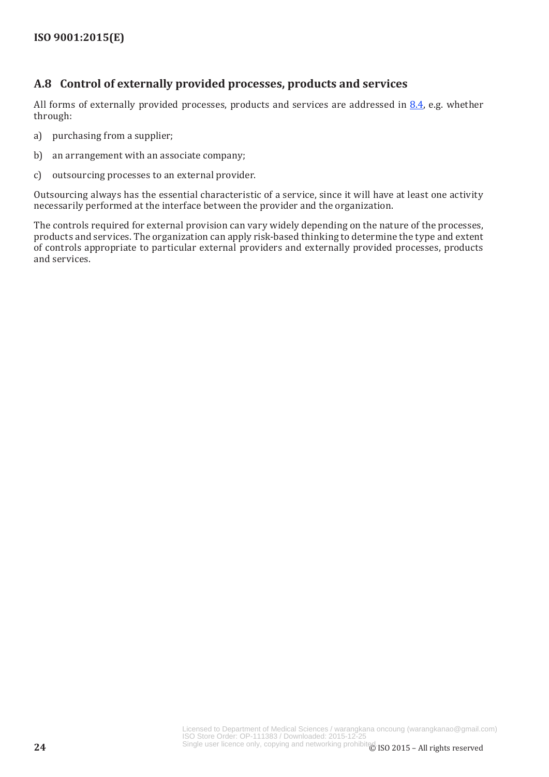## **A.8 Control of externally provided processes, products and services**

All forms of externally provided processes, products and services are addressed in  $8.4$ , e.g. whether through:

- a) purchasing from a supplier;
- b) an arrangement with an associate company;
- c) outsourcing processes to an external provider.

Outsourcing always has the essential characteristic of a service, since it will have at least one activity necessarily performed at the interface between the provider and the organization.

The controls required for external provision can vary widely depending on the nature of the processes, products and services. The organization can apply risk-based thinking to determine the type and extent of controls appropriate to particular external providers and externally provided processes, products and services.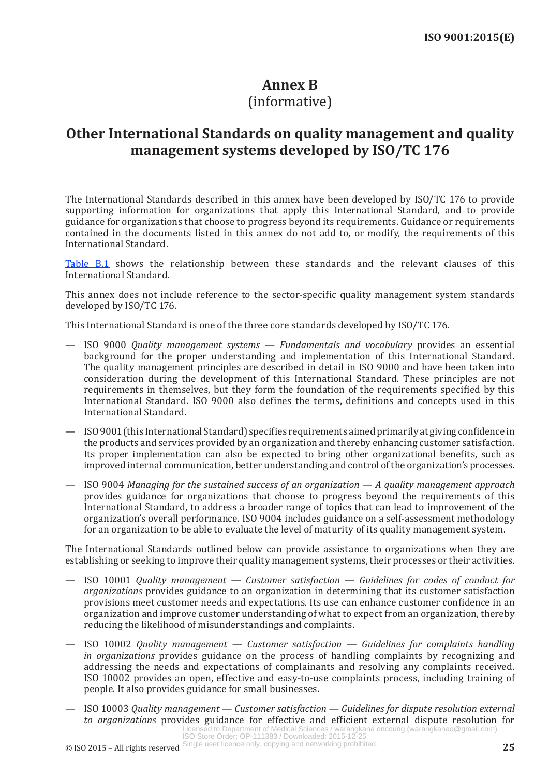## <span id="page-34-1"></span>**Annex B**

## (informative)

## <span id="page-34-0"></span>**Other International Standards on quality management and quality management systems developed by ISO/TC 176**

The International Standards described in this annex have been developed by ISO/TC 176 to provide supporting information for organizations that apply this International Standard, and to provide guidance for organizations that choose to progress beyond its requirements. Guidance or requirements contained in the documents listed in this annex do not add to, or modify, the requirements of this International Standard.

[Table](#page-36-0) B.1 shows the relationship between these standards and the relevant clauses of this International Standard.

This annex does not include reference to the sector-specific quality management system standards developed by ISO/TC 176.

This International Standard is one of the three core standards developed by ISO/TC 176.

- ISO 9000 *Quality management systems Fundamentals and vocabulary* provides an essential background for the proper understanding and implementation of this International Standard. The quality management principles are described in detail in ISO 9000 and have been taken into consideration during the development of this International Standard. These principles are not requirements in themselves, but they form the foundation of the requirements specified by this International Standard. ISO 9000 also defines the terms, definitions and concepts used in this International Standard.
- ISO9001 (this International Standard) specifies requirements aimed primarily at giving confidence in the products and services provided by an organization and thereby enhancing customer satisfaction. Its proper implementation can also be expected to bring other organizational benefits, such as improved internal communication, better understanding and control of the organization's processes.
- ISO 9004 *Managing for the sustained success of an organization A quality management approach* provides guidance for organizations that choose to progress beyond the requirements of this International Standard, to address a broader range of topics that can lead to improvement of the organization's overall performance. ISO 9004 includes guidance on a self-assessment methodology for an organization to be able to evaluate the level of maturity of its quality management system.

The International Standards outlined below can provide assistance to organizations when they are establishing or seeking to improve their quality management systems, their processes or their activities.

- ISO 10001 *Quality management Customer satisfaction Guidelines for codes of conduct for organizations* provides guidance to an organization in determining that its customer satisfaction provisions meet customer needs and expectations. Its use can enhance customer confidence in an organization and improve customer understanding of what to expect from an organization, thereby reducing the likelihood of misunderstandings and complaints.
- ISO 10002 *Quality management Customer satisfaction Guidelines for complaints handling in organizations* provides guidance on the process of handling complaints by recognizing and addressing the needs and expectations of complainants and resolving any complaints received. ISO 10002 provides an open, effective and easy-to-use complaints process, including training of people. It also provides guidance for small businesses.
- ISO 10003 *Quality management Customer satisfaction Guidelines for dispute resolution external to organizations* provides guidance for effective and efficient external dispute resolution for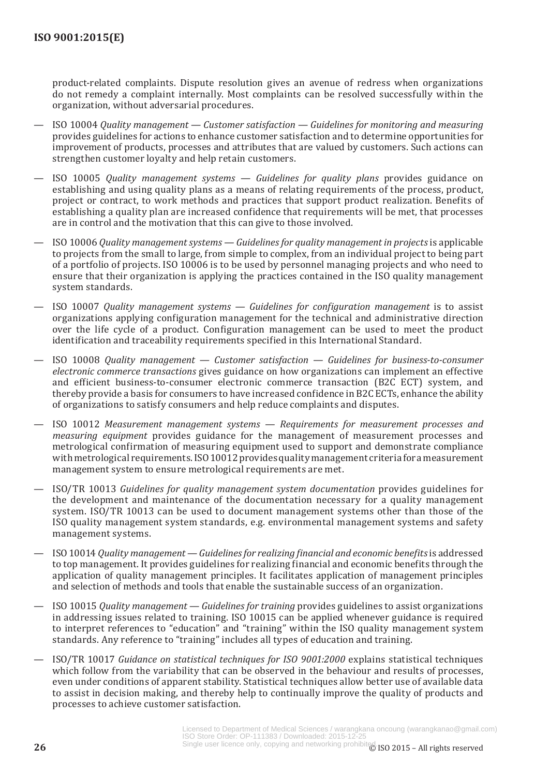product-related complaints. Dispute resolution gives an avenue of redress when organizations do not remedy a complaint internally. Most complaints can be resolved successfully within the organization, without adversarial procedures.

- ISO 10004 *Quality management Customer satisfaction Guidelines for monitoring and measuring* provides guidelines for actions to enhance customer satisfaction and to determine opportunities for improvement of products, processes and attributes that are valued by customers. Such actions can strengthen customer loyalty and help retain customers.
- ISO 10005 *Quality management systems Guidelines for quality plans* provides guidance on establishing and using quality plans as a means of relating requirements of the process, product, project or contract, to work methods and practices that support product realization. Benefits of establishing a quality plan are increased confidence that requirements will be met, that processes are in control and the motivation that this can give to those involved.
- ISO 10006 *Quality management systems Guidelines for quality management in projects* is applicable to projects from the small to large, from simple to complex, from an individual project to being part of a portfolio of projects. ISO 10006 is to be used by personnel managing projects and who need to ensure that their organization is applying the practices contained in the ISO quality management system standards.
- ISO 10007 *Quality management systems Guidelines for configuration management* is to assist organizations applying configuration management for the technical and administrative direction over the life cycle of a product. Configuration management can be used to meet the product identification and traceability requirements specified in this International Standard.
- ISO 10008 *Quality management Customer satisfaction Guidelines for business-to-consumer electronic commerce transactions* gives guidance on how organizations can implement an effective and efficient business-to-consumer electronic commerce transaction (B2C ECT) system, and thereby provide a basis for consumers to have increased confidence in B2C ECTs, enhance the ability of organizations to satisfy consumers and help reduce complaints and disputes.
- ISO 10012 *Measurement management systems Requirements for measurement processes and measuring equipment* provides guidance for the management of measurement processes and metrological confirmation of measuring equipment used to support and demonstrate compliance with metrological requirements. ISO 10012 provides quality management criteria for a measurement management system to ensure metrological requirements are met.
- ISO/TR 10013 *Guidelines for quality management system documentation* provides guidelines for the development and maintenance of the documentation necessary for a quality management system. ISO/TR 10013 can be used to document management systems other than those of the ISO quality management system standards, e.g. environmental management systems and safety management systems.
- ISO 10014 *Quality management Guidelines for realizing financial and economic benefits* is addressed to top management. It provides guidelines for realizing financial and economic benefits through the application of quality management principles. It facilitates application of management principles and selection of methods and tools that enable the sustainable success of an organization.
- ISO 10015 *Quality management Guidelines for training* provides guidelines to assist organizations in addressing issues related to training. ISO 10015 can be applied whenever guidance is required to interpret references to "education" and "training" within the ISO quality management system standards. Any reference to "training" includes all types of education and training.
- ISO/TR 10017 *Guidance on statistical techniques for ISO 9001:2000* explains statistical techniques which follow from the variability that can be observed in the behaviour and results of processes, even under conditions of apparent stability. Statistical techniques allow better use of available data to assist in decision making, and thereby help to continually improve the quality of products and processes to achieve customer satisfaction.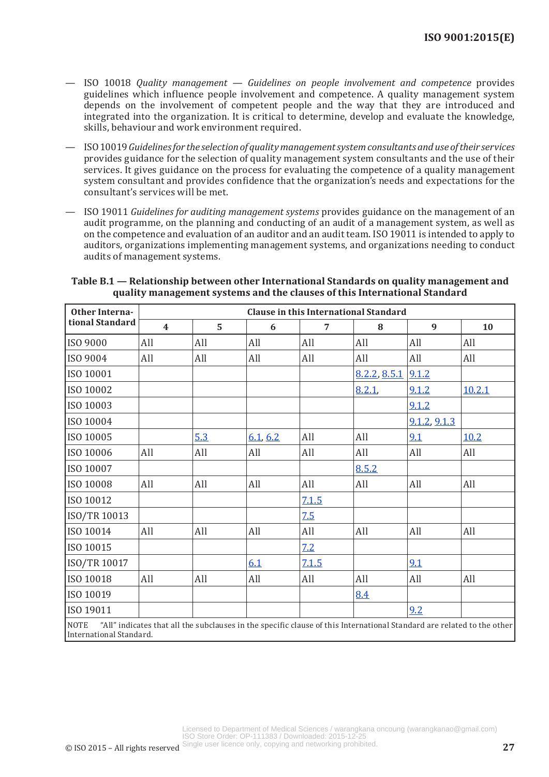- ISO 10018 *Quality management Guidelines on people involvement and competence* provides guidelines which influence people involvement and competence. A quality management system depends on the involvement of competent people and the way that they are introduced and integrated into the organization. It is critical to determine, develop and evaluate the knowledge, skills, behaviour and work environment required.
- ISO10019 *Guidelines for the selection of quality management system consultants and use of their services* provides guidance for the selection of quality management system consultants and the use of their services. It gives guidance on the process for evaluating the competence of a quality management system consultant and provides confidence that the organization's needs and expectations for the consultant's services will be met.
- ISO 19011 *Guidelines for auditing management systems* provides guidance on the management of an audit programme, on the planning and conducting of an audit of a management system, as well as on the competence and evaluation of an auditor and an audit team. ISO 19011 is intended to apply to auditors, organizations implementing management systems, and organizations needing to conduct audits of management systems.

| Other Interna-                                                                                                                                                   | <b>Clause in this International Standard</b> |     |          |       |              |              |        |  |
|------------------------------------------------------------------------------------------------------------------------------------------------------------------|----------------------------------------------|-----|----------|-------|--------------|--------------|--------|--|
| tional Standard                                                                                                                                                  | $\overline{\mathbf{4}}$                      | 5   | 6        | 7     | 8            | 9            | 10     |  |
| ISO 9000                                                                                                                                                         | All                                          | All | All      | All   | All          | All          | All    |  |
| ISO 9004                                                                                                                                                         | All                                          | All | All      | All   | All          | All          | All    |  |
| ISO 10001                                                                                                                                                        |                                              |     |          |       | 8.2.2, 8.5.1 | 9.1.2        |        |  |
| ISO 10002                                                                                                                                                        |                                              |     |          |       | 8.2.1        | 9.1.2        | 10.2.1 |  |
| ISO 10003                                                                                                                                                        |                                              |     |          |       |              | 9.1.2        |        |  |
| ISO 10004                                                                                                                                                        |                                              |     |          |       |              | 9.1.2, 9.1.3 |        |  |
| ISO 10005                                                                                                                                                        |                                              | 5.3 | 6.1, 6.2 | All   | All          | 9.1          | 10.2   |  |
| ISO 10006                                                                                                                                                        | All                                          | All | All      | All   | All          | All          | All    |  |
| ISO 10007                                                                                                                                                        |                                              |     |          |       | 8.5.2        |              |        |  |
| ISO 10008                                                                                                                                                        | All                                          | All | All      | All   | All          | All          | All    |  |
| ISO 10012                                                                                                                                                        |                                              |     |          | 7.1.5 |              |              |        |  |
| ISO/TR 10013                                                                                                                                                     |                                              |     |          | 7.5   |              |              |        |  |
| ISO 10014                                                                                                                                                        | All                                          | All | All      | All   | All          | All          | All    |  |
| ISO 10015                                                                                                                                                        |                                              |     |          | 7.2   |              |              |        |  |
| ISO/TR 10017                                                                                                                                                     |                                              |     | 6.1      | 7.1.5 |              | 9.1          |        |  |
| ISO 10018                                                                                                                                                        | All                                          | All | All      | All   | All          | All          | All    |  |
| ISO 10019                                                                                                                                                        |                                              |     |          |       | 8.4          |              |        |  |
| ISO 19011                                                                                                                                                        |                                              |     |          |       |              | 9.2          |        |  |
| "All" indicates that all the subclauses in the specific clause of this International Standard are related to the other<br><b>NOTE</b><br>International Standard. |                                              |     |          |       |              |              |        |  |

#### <span id="page-36-0"></span>**Table B.1 — Relationship between other International Standards on quality management and quality management systems and the clauses of this International Standard**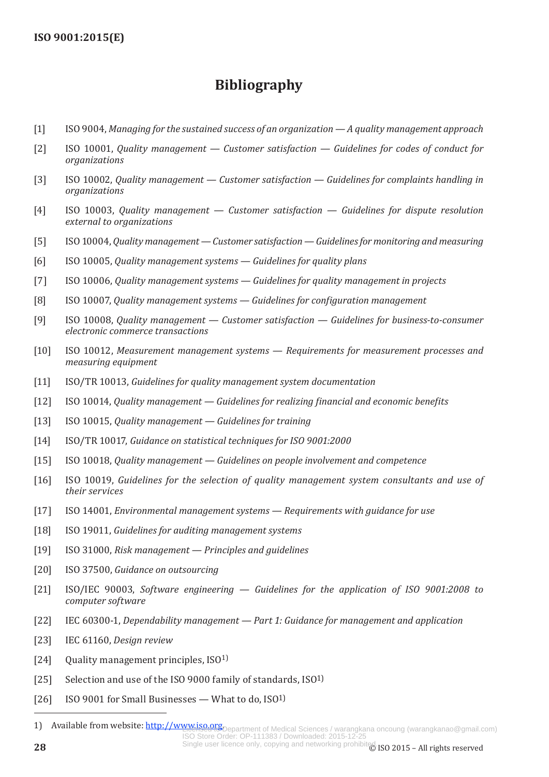## **Bibliography**

- <span id="page-37-0"></span>[1] ISO 9004, *Managing for the sustained success of an organization — A quality management approach*
- [2] ISO 10001, *Quality management Customer satisfaction Guidelines for codes of conduct for organizations*
- [3] ISO 10002, *Quality management Customer satisfaction Guidelines for complaints handling in organizations*
- [4] ISO 10003, *Quality management Customer satisfaction Guidelines for dispute resolution external to organizations*
- [5] ISO10004, *Quality management— Customer satisfaction— Guidelines for monitoring and measuring*
- [6] ISO 10005, *Quality management systems Guidelines for quality plans*
- [7] ISO 10006, *Quality management systems Guidelines for quality management in projects*
- [8] ISO 10007, *Quality management systems Guidelines for configuration management*
- [9] ISO 10008, *Quality management Customer satisfaction Guidelines for business-to-consumer electronic commerce transactions*
- [10] ISO 10012, *Measurement management systems Requirements for measurement processes and measuring equipment*
- [11] ISO/TR 10013, *Guidelines for quality management system documentation*
- [12] ISO 10014, *Quality management Guidelines for realizing financial and economic benefits*
- [13] ISO 10015, *Quality management Guidelines for training*
- [14] ISO/TR 10017, *Guidance on statistical techniques for ISO 9001:2000*
- [15] ISO 10018, *Quality management Guidelines on people involvement and competence*
- [16] ISO 10019, *Guidelines for the selection of quality management system consultants and use of their services*
- [17] ISO 14001, *Environmental management systems Requirements with guidance for use*
- [18] ISO 19011, *Guidelines for auditing management systems*
- [19] ISO 31000, *Risk management Principles and guidelines*
- [20] ISO 37500, *Guidance on outsourcing*
- [21] ISO/IEC 90003, *Software engineering Guidelines for the application of ISO 9001:2008 to computer software*
- [22] IEC 60300-1, *Dependability management Part 1: Guidance for management and application*
- [23] IEC 61160, *Design review*
- [24] Quality management principles, ISO<sup>1]</sup>
- [25] Selection and use of the ISO 9000 family of standards, ISO<sup>1</sup>)
- [26] ISO 9001 for Small Businesses What to do, ISO<sup>1</sup>)

<sup>1)</sup> Available from website: http://www.se.org.<br>Department of Medical Sciences / warangkana oncoung (warangkana).com) ISO Store Order: OP-111383 / Downloaded: 2015-12-25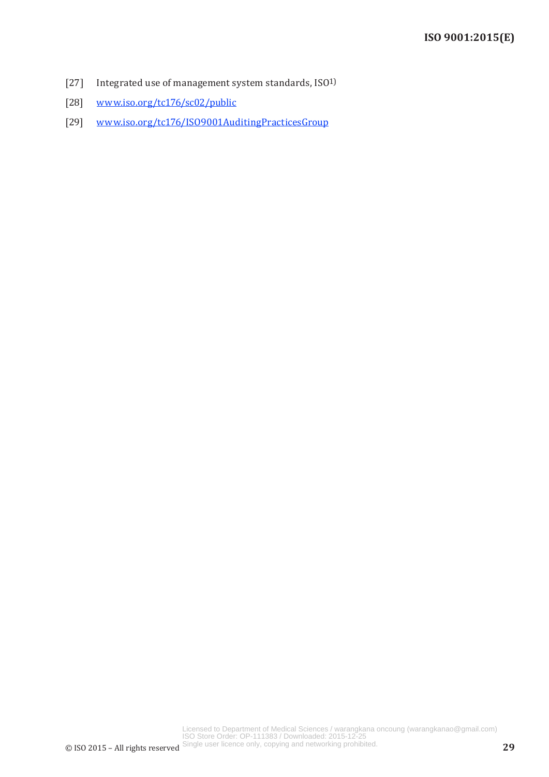- [27] Integrated use of management system standards, ISO<sup>1)</sup>
- [28] [www.iso.org/tc176/sc02/public](http://www.iso.org/tc176/sc02/public)
- [29] [www.iso.org/tc176/ISO9001AuditingPracticesGroup](http://isotc.iso.org/livelink/livelink?func=ll&objId=3541460&objAction=browse&sort=name)